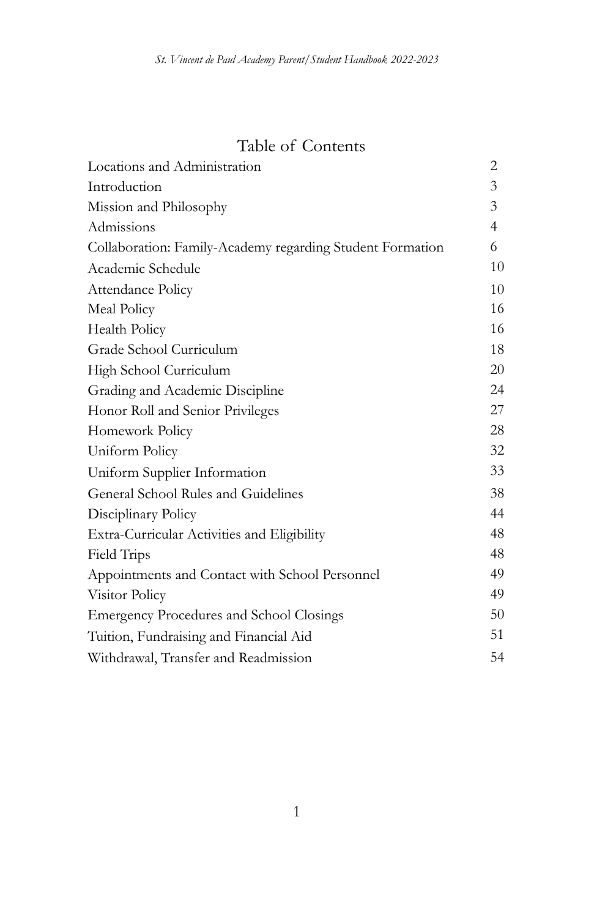# Table of Contents

| Locations and Administration                              | 2              |
|-----------------------------------------------------------|----------------|
| Introduction                                              | 3              |
| Mission and Philosophy                                    | 3              |
| Admissions                                                | $\overline{4}$ |
| Collaboration: Family-Academy regarding Student Formation | 6              |
| Academic Schedule                                         | 10             |
| Attendance Policy                                         | 10             |
| Meal Policy                                               | 16             |
| <b>Health Policy</b>                                      | 16             |
| Grade School Curriculum                                   | 18             |
| High School Curriculum                                    | 20             |
| Grading and Academic Discipline                           | 24             |
| Honor Roll and Senior Privileges                          | 27             |
| Homework Policy                                           | 28             |
| Uniform Policy                                            | 32             |
| Uniform Supplier Information                              | 33             |
| General School Rules and Guidelines                       | 38             |
| Disciplinary Policy                                       | 44             |
| Extra-Curricular Activities and Eligibility               | 48             |
| Field Trips                                               | 48             |
| Appointments and Contact with School Personnel            | 49             |
| Visitor Policy                                            | 49             |
| <b>Emergency Procedures and School Closings</b>           | 50             |
| Tuition, Fundraising and Financial Aid                    | 51             |
| Withdrawal, Transfer and Readmission                      | 54             |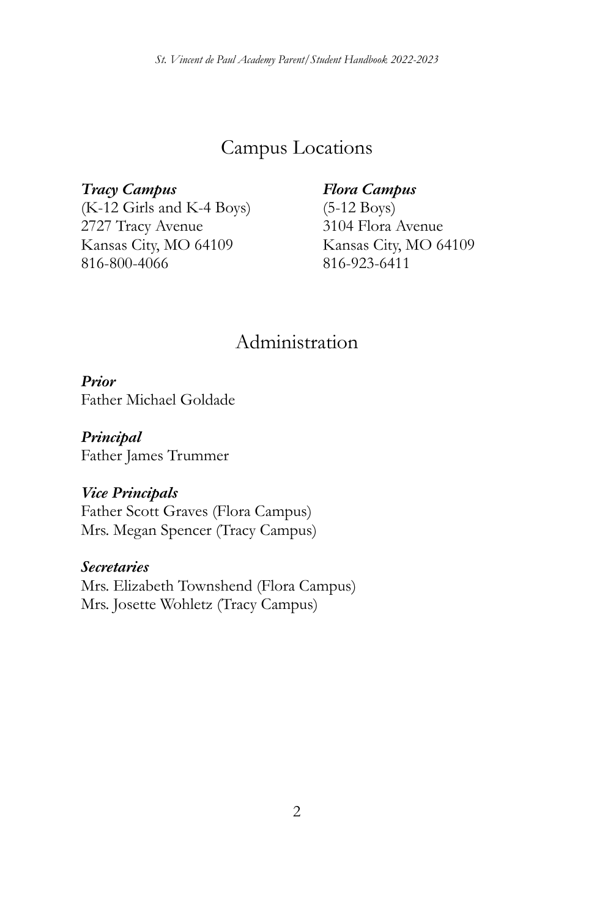# Campus Locations

*Tracy Campus* (K-12 Girls and K-4 Boys) 2727 Tracy Avenue Kansas City, MO 64109 816-800-4066

#### *Flora Campus*

(5-12 Boys) 3104 Flora Avenue Kansas City, MO 64109 816-923-6411

# Administration

*Prior*

Father Michael Goldade

*Principal* Father James Trummer

#### *Vice Principals*

Father Scott Graves (Flora Campus) Mrs. Megan Spencer (Tracy Campus)

#### *Secretaries*

Mrs. Elizabeth Townshend (Flora Campus) Mrs. Josette Wohletz (Tracy Campus)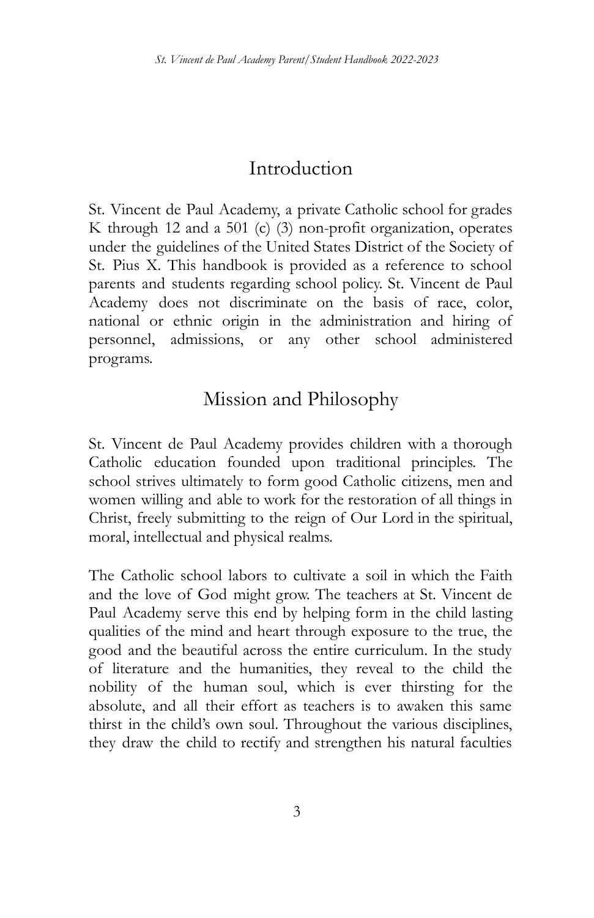# Introduction

St. Vincent de Paul Academy, a private Catholic school for grades K through 12 and a 501 (c) (3) non-profit organization, operates under the guidelines of the United States District of the Society of St. Pius X. This handbook is provided as a reference to school parents and students regarding school policy. St. Vincent de Paul Academy does not discriminate on the basis of race, color, national or ethnic origin in the administration and hiring of personnel, admissions, or any other school administered programs.

# Mission and Philosophy

St. Vincent de Paul Academy provides children with a thorough Catholic education founded upon traditional principles. The school strives ultimately to form good Catholic citizens, men and women willing and able to work for the restoration of all things in Christ, freely submitting to the reign of Our Lord in the spiritual, moral, intellectual and physical realms.

The Catholic school labors to cultivate a soil in which the Faith and the love of God might grow. The teachers at St. Vincent de Paul Academy serve this end by helping form in the child lasting qualities of the mind and heart through exposure to the true, the good and the beautiful across the entire curriculum. In the study of literature and the humanities, they reveal to the child the nobility of the human soul, which is ever thirsting for the absolute, and all their effort as teachers is to awaken this same thirst in the child's own soul. Throughout the various disciplines, they draw the child to rectify and strengthen his natural faculties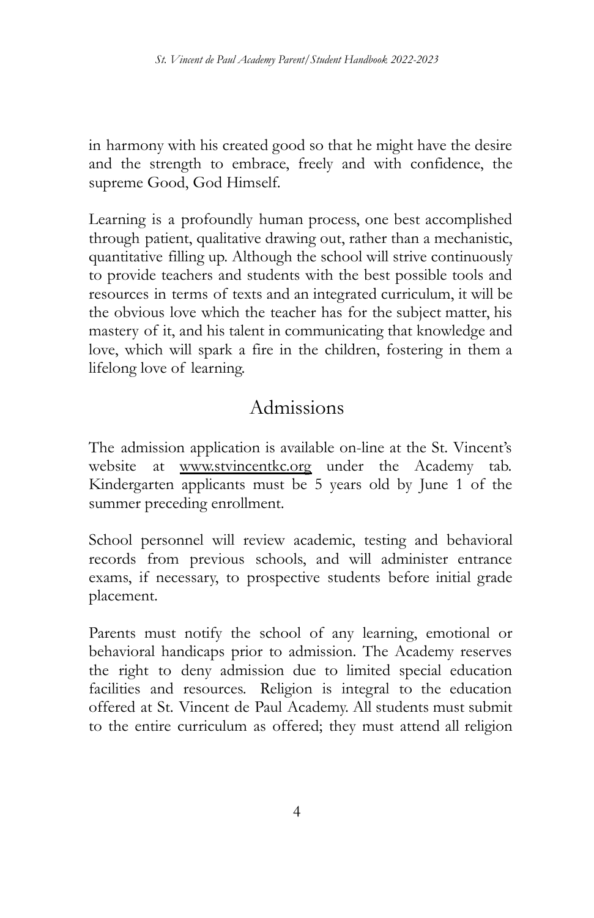in harmony with his created good so that he might have the desire and the strength to embrace, freely and with confidence, the supreme Good, God Himself.

Learning is a profoundly human process, one best accomplished through patient, qualitative drawing out, rather than a mechanistic, quantitative filling up. Although the school will strive continuously to provide teachers and students with the best possible tools and resources in terms of texts and an integrated curriculum, it will be the obvious love which the teacher has for the subject matter, his mastery of it, and his talent in communicating that knowledge and love, which will spark a fire in the children, fostering in them a lifelong love of learning.

# Admissions

The admission application is available on-line at the St. Vincent's website at www.stvincentkc.org under the Academy tab. Kindergarten applicants must be 5 years old by June 1 of the summer preceding enrollment.

School personnel will review academic, testing and behavioral records from previous schools, and will administer entrance exams, if necessary, to prospective students before initial grade placement.

Parents must notify the school of any learning, emotional or behavioral handicaps prior to admission. The Academy reserves the right to deny admission due to limited special education facilities and resources. Religion is integral to the education offered at St. Vincent de Paul Academy. All students must submit to the entire curriculum as offered; they must attend all religion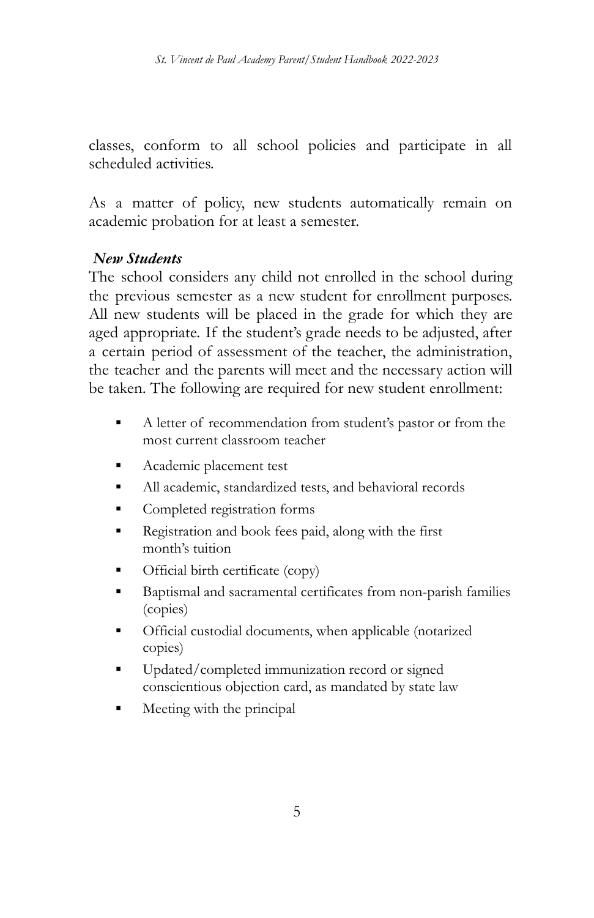classes, conform to all school policies and participate in all scheduled activities.

As a matter of policy, new students automatically remain on academic probation for at least a semester.

#### *New Students*

The school considers any child not enrolled in the school during the previous semester as a new student for enrollment purposes. All new students will be placed in the grade for which they are aged appropriate. If the student's grade needs to be adjusted, after a certain period of assessment of the teacher, the administration, the teacher and the parents will meet and the necessary action will be taken. The following are required for new student enrollment:

- A letter of recommendation from student's pastor or from the most current classroom teacher
- Academic placement test
- All academic, standardized tests, and behavioral records
- Completed registration forms
- Registration and book fees paid, along with the first month's tuition
- Official birth certificate (copy)
- Baptismal and sacramental certificates from non-parish families (copies)
- Official custodial documents, when applicable (notarized copies)
- Updated/completed immunization record or signed conscientious objection card, as mandated by state law
- Meeting with the principal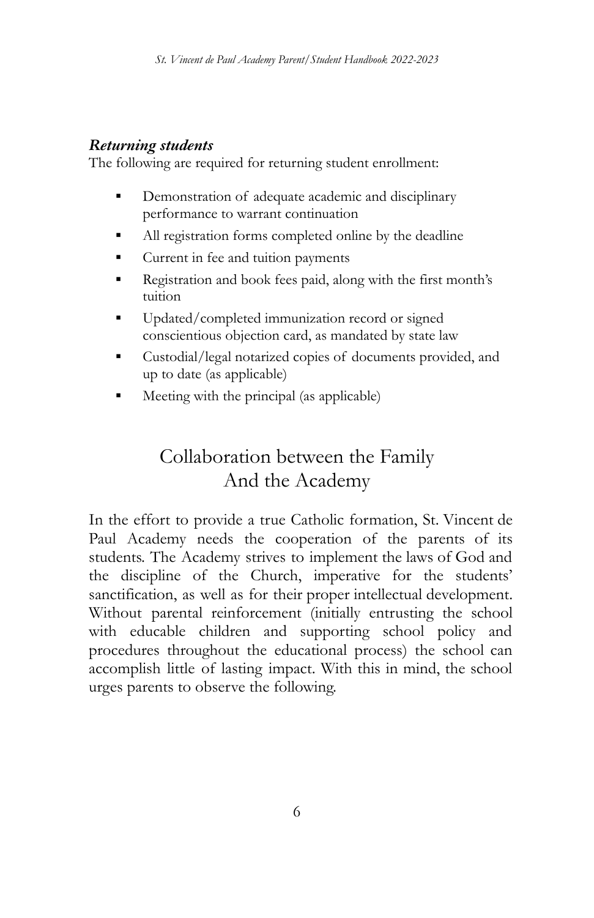### *Returning students*

The following are required for returning student enrollment:

- Demonstration of adequate academic and disciplinary performance to warrant continuation
- All registration forms completed online by the deadline
- Current in fee and tuition payments
- Registration and book fees paid, along with the first month's tuition
- Updated/completed immunization record or signed conscientious objection card, as mandated by state law
- Custodial/legal notarized copies of documents provided, and up to date (as applicable)
- Meeting with the principal (as applicable)

# Collaboration between the Family And the Academy

In the effort to provide a true Catholic formation, St. Vincent de Paul Academy needs the cooperation of the parents of its students. The Academy strives to implement the laws of God and the discipline of the Church, imperative for the students' sanctification, as well as for their proper intellectual development. Without parental reinforcement (initially entrusting the school with educable children and supporting school policy and procedures throughout the educational process) the school can accomplish little of lasting impact. With this in mind, the school urges parents to observe the following.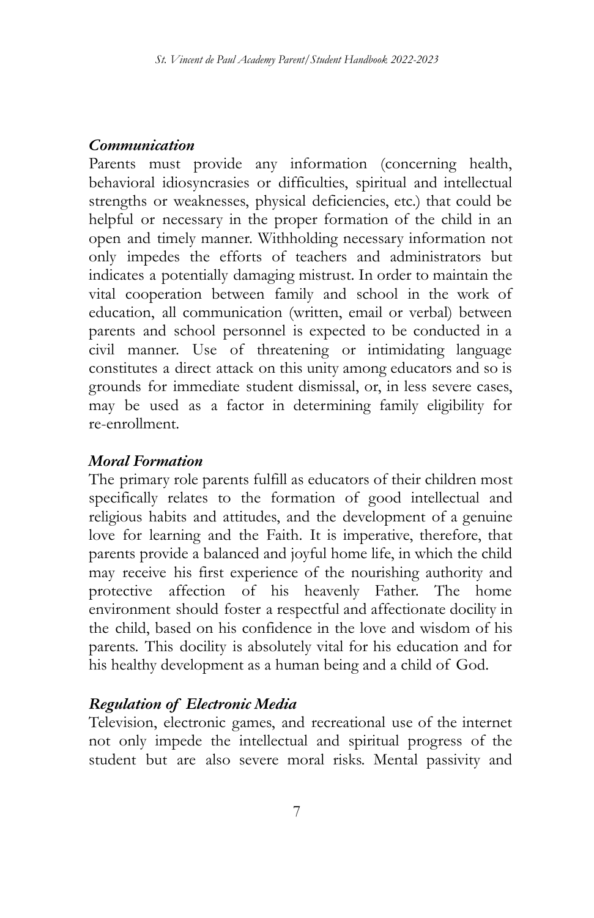#### *Communication*

Parents must provide any information (concerning health, behavioral idiosyncrasies or difficulties, spiritual and intellectual strengths or weaknesses, physical deficiencies, etc.) that could be helpful or necessary in the proper formation of the child in an open and timely manner. Withholding necessary information not only impedes the efforts of teachers and administrators but indicates a potentially damaging mistrust. In order to maintain the vital cooperation between family and school in the work of education, all communication (written, email or verbal) between parents and school personnel is expected to be conducted in a civil manner. Use of threatening or intimidating language constitutes a direct attack on this unity among educators and so is grounds for immediate student dismissal, or, in less severe cases, may be used as a factor in determining family eligibility for re-enrollment.

### *Moral Formation*

The primary role parents fulfill as educators of their children most specifically relates to the formation of good intellectual and religious habits and attitudes, and the development of a genuine love for learning and the Faith. It is imperative, therefore, that parents provide a balanced and joyful home life, in which the child may receive his first experience of the nourishing authority and protective affection of his heavenly Father. The home environment should foster a respectful and affectionate docility in the child, based on his confidence in the love and wisdom of his parents. This docility is absolutely vital for his education and for his healthy development as a human being and a child of God.

#### *Regulation of Electronic Media*

Television, electronic games, and recreational use of the internet not only impede the intellectual and spiritual progress of the student but are also severe moral risks. Mental passivity and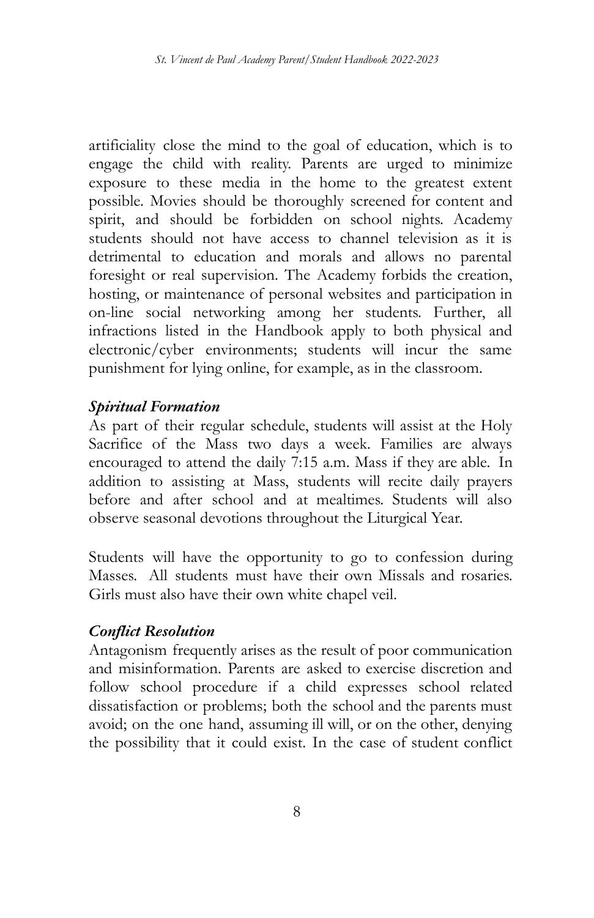artificiality close the mind to the goal of education, which is to engage the child with reality. Parents are urged to minimize exposure to these media in the home to the greatest extent possible. Movies should be thoroughly screened for content and spirit, and should be forbidden on school nights. Academy students should not have access to channel television as it is detrimental to education and morals and allows no parental foresight or real supervision. The Academy forbids the creation, hosting, or maintenance of personal websites and participation in on-line social networking among her students. Further, all infractions listed in the Handbook apply to both physical and electronic/cyber environments; students will incur the same punishment for lying online, for example, as in the classroom.

#### *Spiritual Formation*

As part of their regular schedule, students will assist at the Holy Sacrifice of the Mass two days a week. Families are always encouraged to attend the daily 7:15 a.m. Mass if they are able. In addition to assisting at Mass, students will recite daily prayers before and after school and at mealtimes. Students will also observe seasonal devotions throughout the Liturgical Year.

Students will have the opportunity to go to confession during Masses. All students must have their own Missals and rosaries. Girls must also have their own white chapel veil.

#### *Conflict Resolution*

Antagonism frequently arises as the result of poor communication and misinformation. Parents are asked to exercise discretion and follow school procedure if a child expresses school related dissatisfaction or problems; both the school and the parents must avoid; on the one hand, assuming ill will, or on the other, denying the possibility that it could exist. In the case of student conflict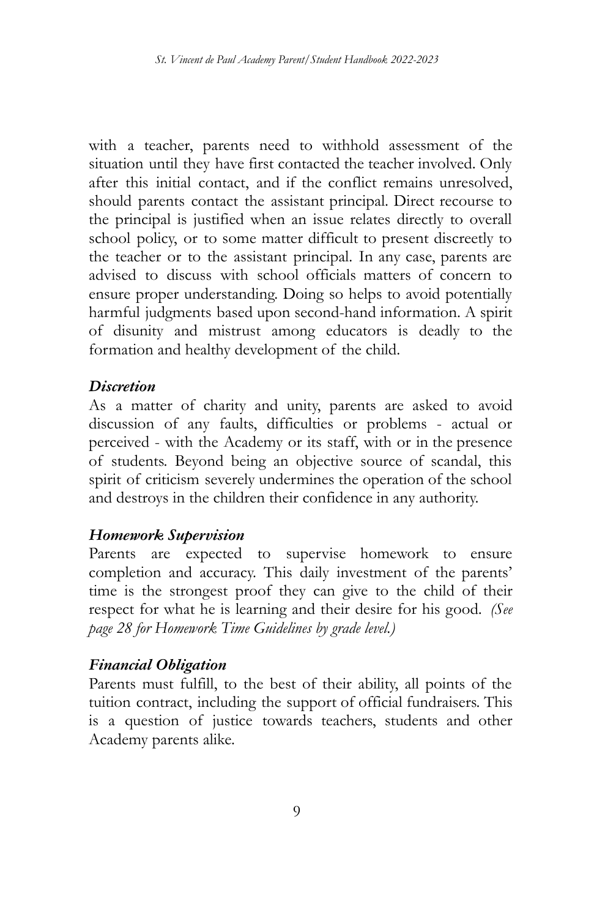with a teacher, parents need to withhold assessment of the situation until they have first contacted the teacher involved. Only after this initial contact, and if the conflict remains unresolved, should parents contact the assistant principal. Direct recourse to the principal is justified when an issue relates directly to overall school policy, or to some matter difficult to present discreetly to the teacher or to the assistant principal. In any case, parents are advised to discuss with school officials matters of concern to ensure proper understanding. Doing so helps to avoid potentially harmful judgments based upon second-hand information. A spirit of disunity and mistrust among educators is deadly to the formation and healthy development of the child.

#### *Discretion*

As a matter of charity and unity, parents are asked to avoid discussion of any faults, difficulties or problems - actual or perceived - with the Academy or its staff, with or in the presence of students. Beyond being an objective source of scandal, this spirit of criticism severely undermines the operation of the school and destroys in the children their confidence in any authority.

#### *Homework Supervision*

Parents are expected to supervise homework to ensure completion and accuracy. This daily investment of the parents' time is the strongest proof they can give to the child of their respect for what he is learning and their desire for his good. *(See page 28 for Homework Time Guidelines by grade level.)*

#### *Financial Obligation*

Parents must fulfill, to the best of their ability, all points of the tuition contract, including the support of official fundraisers. This is a question of justice towards teachers, students and other Academy parents alike.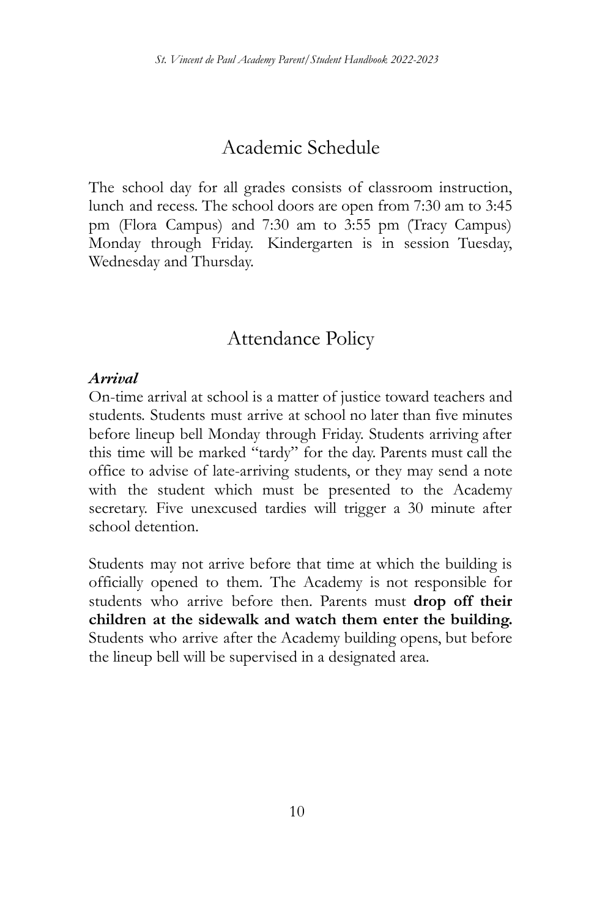# Academic Schedule

The school day for all grades consists of classroom instruction, lunch and recess. The school doors are open from 7:30 am to 3:45 pm (Flora Campus) and 7:30 am to 3:55 pm (Tracy Campus) Monday through Friday. Kindergarten is in session Tuesday, Wednesday and Thursday.

# Attendance Policy

#### *Arrival*

On-time arrival at school is a matter of justice toward teachers and students. Students must arrive at school no later than five minutes before lineup bell Monday through Friday. Students arriving after this time will be marked "tardy" for the day. Parents must call the office to advise of late-arriving students, or they may send a note with the student which must be presented to the Academy secretary. Five unexcused tardies will trigger a 30 minute after school detention.

Students may not arrive before that time at which the building is officially opened to them. The Academy is not responsible for students who arrive before then. Parents must **drop off their children at the sidewalk and watch them enter the building.** Students who arrive after the Academy building opens, but before the lineup bell will be supervised in a designated area.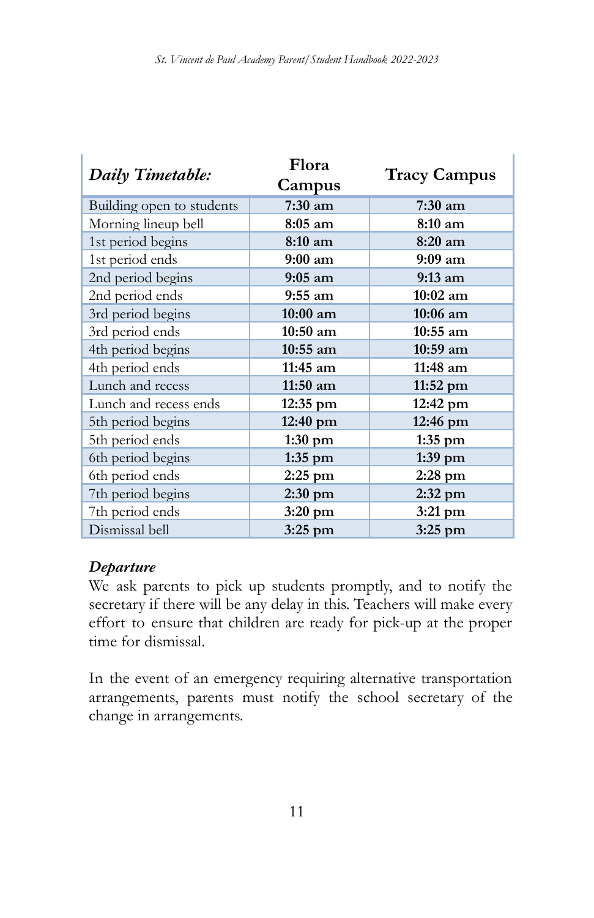| Daily Timetable:          | Flora                         |                    |  |
|---------------------------|-------------------------------|--------------------|--|
|                           | <b>Tracy Campus</b><br>Campus |                    |  |
| Building open to students | 7:30 am                       | $7:30$ am          |  |
| Morning lineup bell       | $8:05 \text{ am}$             | $8:10 \text{ am}$  |  |
| 1st period begins         | 8:10 am                       | $8:20 \text{ am}$  |  |
| 1st period ends           | $9:00 \text{ am}$             | $9:09 \text{ am}$  |  |
| 2nd period begins         | $9:05 \text{ am}$             | $9:13 \text{ am}$  |  |
| 2nd period ends           | $9:55$ am                     | $10:02$ am         |  |
| 3rd period begins         | $10:00$ am                    | $10:06$ am         |  |
| 3rd period ends           | $10:50$ am                    | $10:55$ am         |  |
| 4th period begins         | $10:55$ am                    | $10:59$ am         |  |
| 4th period ends           | 11:45 am                      | 11:48 am           |  |
| Lunch and recess          | $11:50$ am                    | $11:52 \text{ pm}$ |  |
| Lunch and recess ends     | 12:35 pm                      | 12:42 pm           |  |
| 5th period begins         | 12:40 pm                      | 12:46 pm           |  |
| 5th period ends           | $1:30$ pm                     | $1:35$ pm          |  |
| 6th period begins         | $1:35$ pm                     | $1:39$ pm          |  |
| 6th period ends           | $2:25$ pm                     | $2:28$ pm          |  |
| 7th period begins         | $2:30$ pm                     | $2:32$ pm          |  |
| 7th period ends           | $3:20$ pm                     | $3:21$ pm          |  |
| Dismissal bell            | $3:25$ pm                     | $3:25$ pm          |  |

#### *Departure*

We ask parents to pick up students promptly, and to notify the secretary if there will be any delay in this. Teachers will make every effort to ensure that children are ready for pick-up at the proper time for dismissal.

In the event of an emergency requiring alternative transportation arrangements, parents must notify the school secretary of the change in arrangements.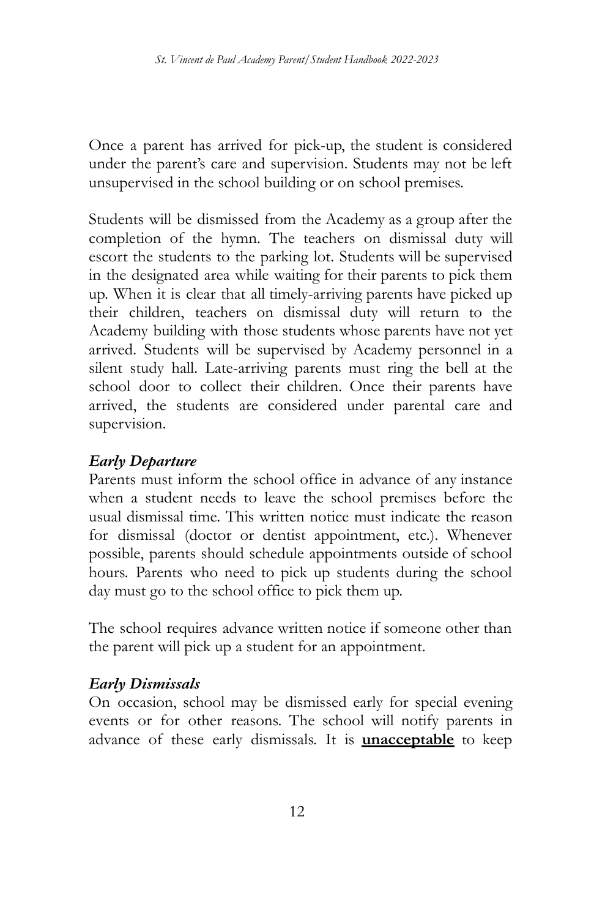Once a parent has arrived for pick-up, the student is considered under the parent's care and supervision. Students may not be left unsupervised in the school building or on school premises.

Students will be dismissed from the Academy as a group after the completion of the hymn. The teachers on dismissal duty will escort the students to the parking lot. Students will be supervised in the designated area while waiting for their parents to pick them up. When it is clear that all timely-arriving parents have picked up their children, teachers on dismissal duty will return to the Academy building with those students whose parents have not yet arrived. Students will be supervised by Academy personnel in a silent study hall. Late-arriving parents must ring the bell at the school door to collect their children. Once their parents have arrived, the students are considered under parental care and supervision.

### *Early Departure*

Parents must inform the school office in advance of any instance when a student needs to leave the school premises before the usual dismissal time. This written notice must indicate the reason for dismissal (doctor or dentist appointment, etc.). Whenever possible, parents should schedule appointments outside of school hours. Parents who need to pick up students during the school day must go to the school office to pick them up.

The school requires advance written notice if someone other than the parent will pick up a student for an appointment.

### *Early Dismissals*

On occasion, school may be dismissed early for special evening events or for other reasons. The school will notify parents in advance of these early dismissals. It is **unacceptable** to keep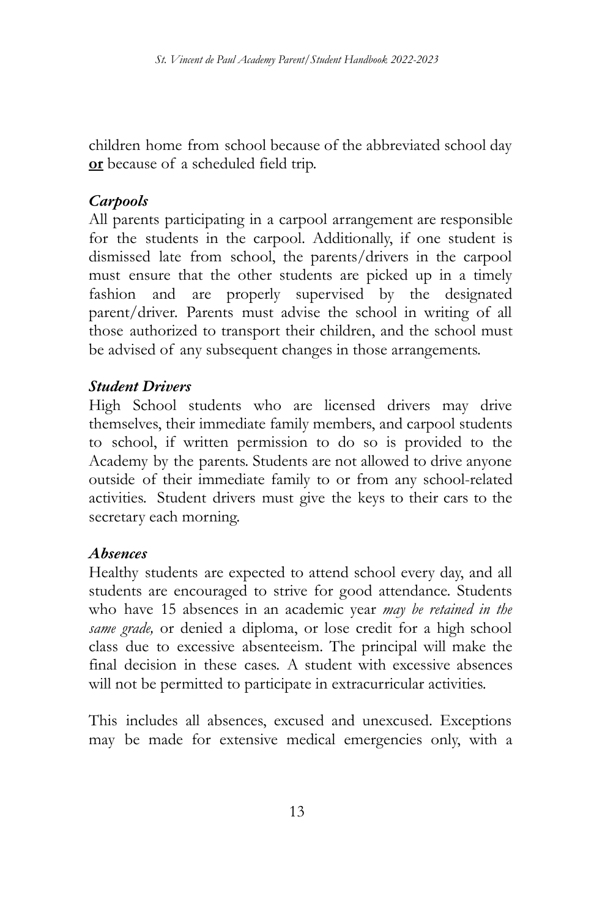children home from school because of the abbreviated school day **or** because of a scheduled field trip.

### *Carpools*

All parents participating in a carpool arrangement are responsible for the students in the carpool. Additionally, if one student is dismissed late from school, the parents/drivers in the carpool must ensure that the other students are picked up in a timely fashion and are properly supervised by the designated parent/driver. Parents must advise the school in writing of all those authorized to transport their children, and the school must be advised of any subsequent changes in those arrangements.

### *Student Drivers*

High School students who are licensed drivers may drive themselves, their immediate family members, and carpool students to school, if written permission to do so is provided to the Academy by the parents. Students are not allowed to drive anyone outside of their immediate family to or from any school-related activities. Student drivers must give the keys to their cars to the secretary each morning.

#### *Absences*

Healthy students are expected to attend school every day, and all students are encouraged to strive for good attendance. Students who have 15 absences in an academic year *may be retained in the same grade,* or denied a diploma, or lose credit for a high school class due to excessive absenteeism. The principal will make the final decision in these cases. A student with excessive absences will not be permitted to participate in extracurricular activities.

This includes all absences, excused and unexcused. Exceptions may be made for extensive medical emergencies only, with a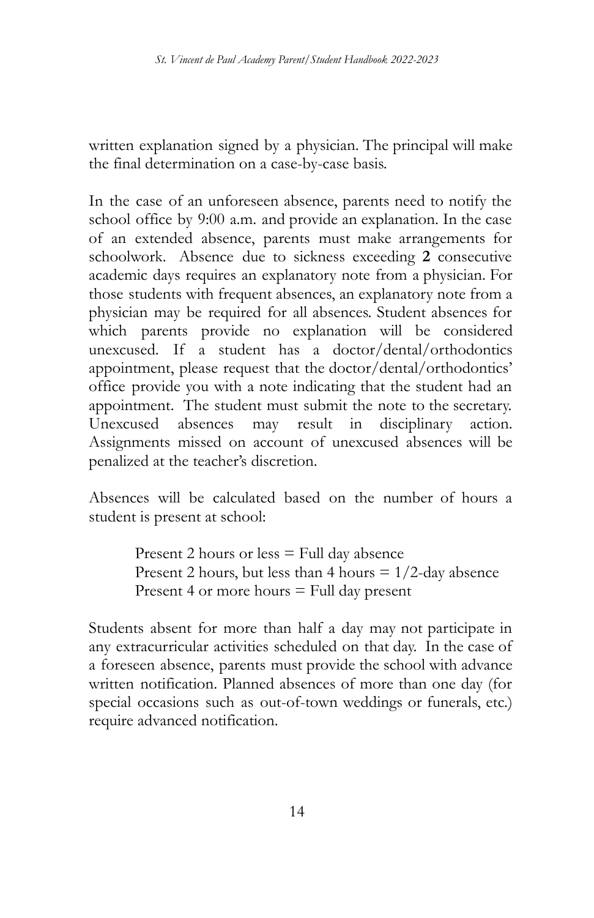written explanation signed by a physician. The principal will make the final determination on a case-by-case basis.

In the case of an unforeseen absence, parents need to notify the school office by 9:00 a.m. and provide an explanation. In the case of an extended absence, parents must make arrangements for schoolwork. Absence due to sickness exceeding **2** consecutive academic days requires an explanatory note from a physician. For those students with frequent absences, an explanatory note from a physician may be required for all absences. Student absences for which parents provide no explanation will be considered unexcused. If a student has a doctor/dental/orthodontics appointment, please request that the doctor/dental/orthodontics' office provide you with a note indicating that the student had an appointment. The student must submit the note to the secretary. Unexcused absences may result in disciplinary action. Assignments missed on account of unexcused absences will be penalized at the teacher's discretion.

Absences will be calculated based on the number of hours a student is present at school:

> Present 2 hours or less = Full day absence Present 2 hours, but less than 4 hours  $= 1/2$ -day absence Present 4 or more hours  $=$  Full day present

Students absent for more than half a day may not participate in any extracurricular activities scheduled on that day. In the case of a foreseen absence, parents must provide the school with advance written notification. Planned absences of more than one day (for special occasions such as out-of-town weddings or funerals, etc.) require advanced notification.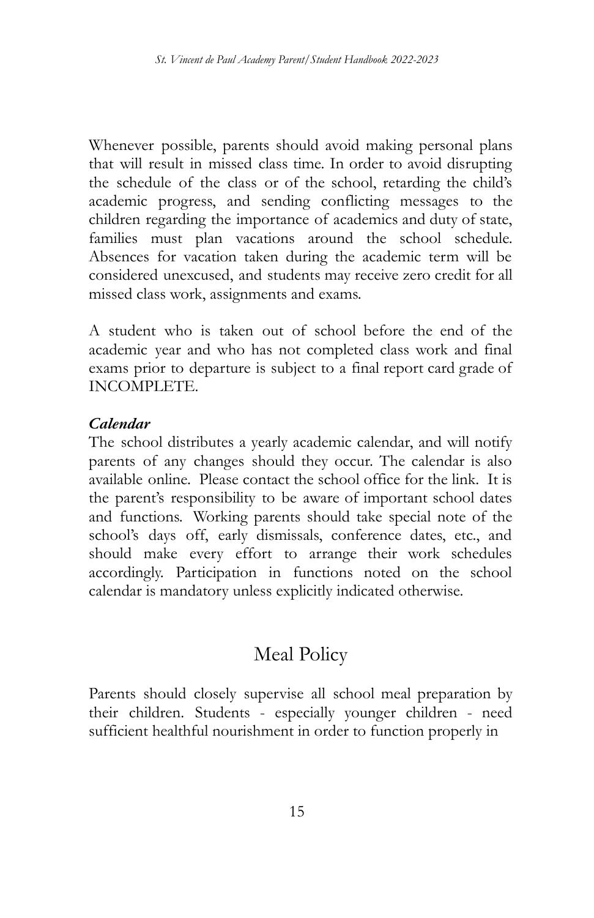Whenever possible, parents should avoid making personal plans that will result in missed class time. In order to avoid disrupting the schedule of the class or of the school, retarding the child's academic progress, and sending conflicting messages to the children regarding the importance of academics and duty of state, families must plan vacations around the school schedule. Absences for vacation taken during the academic term will be considered unexcused, and students may receive zero credit for all missed class work, assignments and exams.

A student who is taken out of school before the end of the academic year and who has not completed class work and final exams prior to departure is subject to a final report card grade of INCOMPLETE.

#### *Calendar*

The school distributes a yearly academic calendar, and will notify parents of any changes should they occur. The calendar is also available online. Please contact the school office for the link. It is the parent's responsibility to be aware of important school dates and functions. Working parents should take special note of the school's days off, early dismissals, conference dates, etc., and should make every effort to arrange their work schedules accordingly. Participation in functions noted on the school calendar is mandatory unless explicitly indicated otherwise.

# Meal Policy

Parents should closely supervise all school meal preparation by their children. Students - especially younger children - need sufficient healthful nourishment in order to function properly in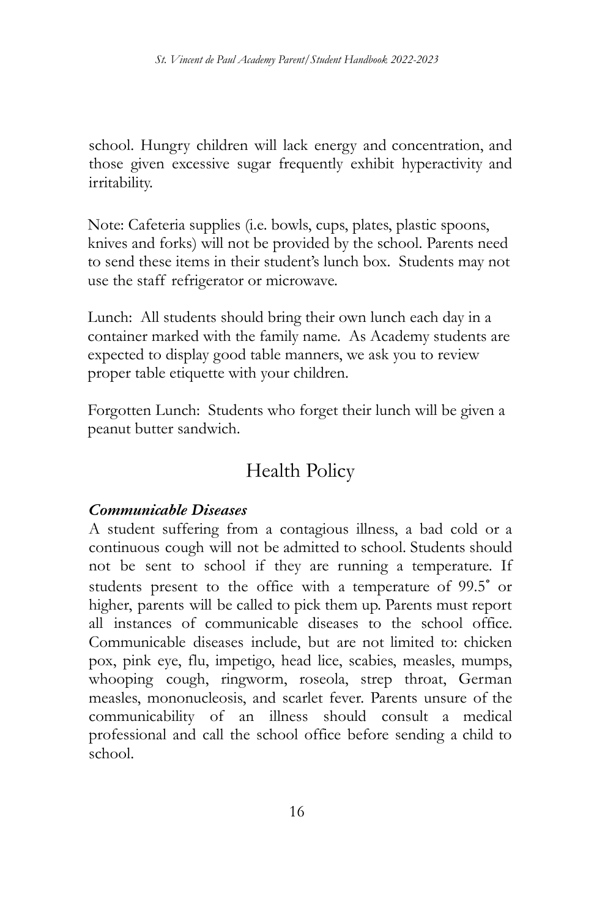school. Hungry children will lack energy and concentration, and those given excessive sugar frequently exhibit hyperactivity and irritability.

Note: Cafeteria supplies (i.e. bowls, cups, plates, plastic spoons, knives and forks) will not be provided by the school. Parents need to send these items in their student's lunch box. Students may not use the staff refrigerator or microwave.

Lunch: All students should bring their own lunch each day in a container marked with the family name. As Academy students are expected to display good table manners, we ask you to review proper table etiquette with your children.

Forgotten Lunch: Students who forget their lunch will be given a peanut butter sandwich.

# Health Policy

#### *Communicable Diseases*

A student suffering from a contagious illness, a bad cold or a continuous cough will not be admitted to school. Students should not be sent to school if they are running a temperature. If students present to the office with a temperature of 99.5˚ or higher, parents will be called to pick them up. Parents must report all instances of communicable diseases to the school office. Communicable diseases include, but are not limited to: chicken pox, pink eye, flu, impetigo, head lice, scabies, measles, mumps, whooping cough, ringworm, roseola, strep throat, German measles, mononucleosis, and scarlet fever. Parents unsure of the communicability of an illness should consult a medical professional and call the school office before sending a child to school.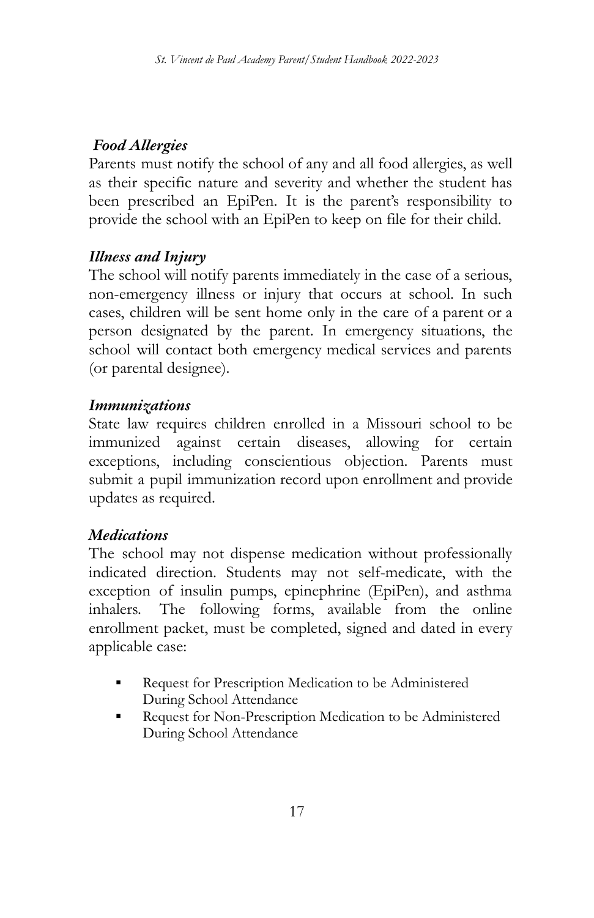### *Food Allergies*

Parents must notify the school of any and all food allergies, as well as their specific nature and severity and whether the student has been prescribed an EpiPen. It is the parent's responsibility to provide the school with an EpiPen to keep on file for their child.

### *Illness and Injury*

The school will notify parents immediately in the case of a serious, non-emergency illness or injury that occurs at school. In such cases, children will be sent home only in the care of a parent or a person designated by the parent. In emergency situations, the school will contact both emergency medical services and parents (or parental designee).

### *Immunizations*

State law requires children enrolled in a Missouri school to be immunized against certain diseases, allowing for certain exceptions, including conscientious objection. Parents must submit a pupil immunization record upon enrollment and provide updates as required.

### *Medications*

The school may not dispense medication without professionally indicated direction. Students may not self-medicate, with the exception of insulin pumps, epinephrine (EpiPen), and asthma inhalers. The following forms, available from the online enrollment packet, must be completed, signed and dated in every applicable case:

- Request for Prescription Medication to be Administered During School Attendance
- Request for Non-Prescription Medication to be Administered During School Attendance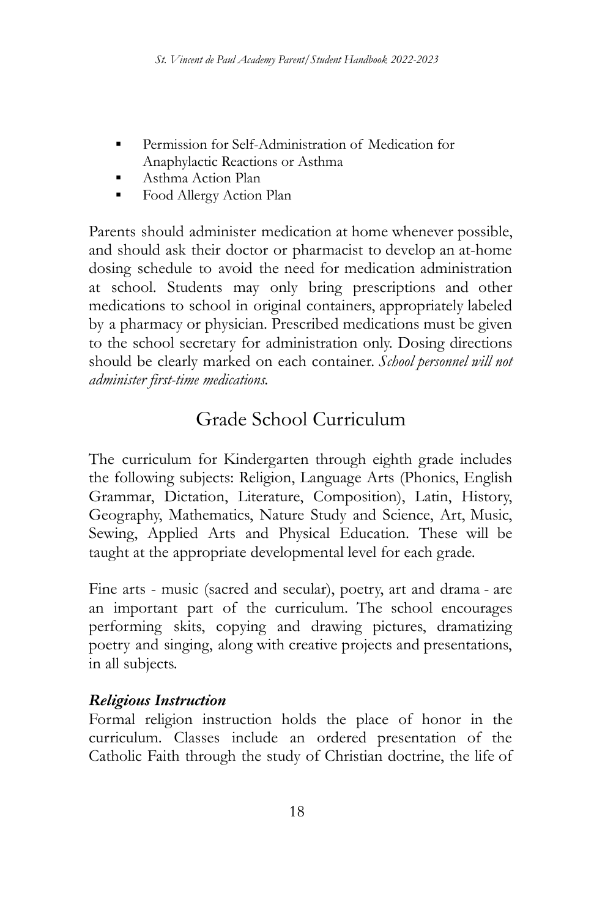- Permission for Self-Administration of Medication for Anaphylactic Reactions or Asthma
- Asthma Action Plan
- Food Allergy Action Plan

Parents should administer medication at home whenever possible, and should ask their doctor or pharmacist to develop an at-home dosing schedule to avoid the need for medication administration at school. Students may only bring prescriptions and other medications to school in original containers, appropriately labeled by a pharmacy or physician. Prescribed medications must be given to the school secretary for administration only. Dosing directions should be clearly marked on each container. *School personnel will not administer first-time medications.*

# Grade School Curriculum

The curriculum for Kindergarten through eighth grade includes the following subjects: Religion, Language Arts (Phonics, English Grammar, Dictation, Literature, Composition), Latin, History, Geography, Mathematics, Nature Study and Science, Art, Music, Sewing, Applied Arts and Physical Education. These will be taught at the appropriate developmental level for each grade.

Fine arts - music (sacred and secular), poetry, art and drama - are an important part of the curriculum. The school encourages performing skits, copying and drawing pictures, dramatizing poetry and singing, along with creative projects and presentations, in all subjects.

### *Religious Instruction*

Formal religion instruction holds the place of honor in the curriculum. Classes include an ordered presentation of the Catholic Faith through the study of Christian doctrine, the life of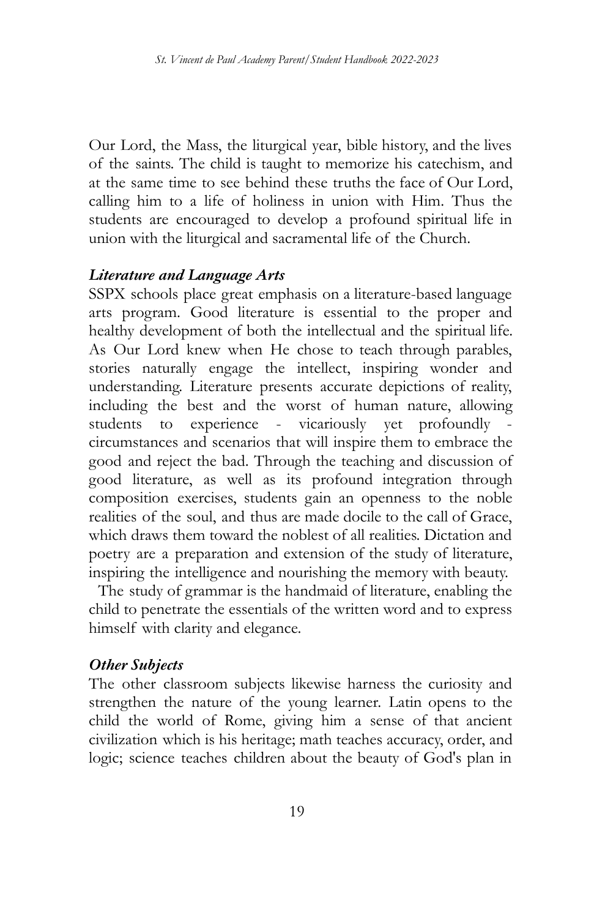Our Lord, the Mass, the liturgical year, bible history, and the lives of the saints. The child is taught to memorize his catechism, and at the same time to see behind these truths the face of Our Lord, calling him to a life of holiness in union with Him. Thus the students are encouraged to develop a profound spiritual life in union with the liturgical and sacramental life of the Church.

#### *Literature and Language Arts*

SSPX schools place great emphasis on a literature-based language arts program. Good literature is essential to the proper and healthy development of both the intellectual and the spiritual life. As Our Lord knew when He chose to teach through parables, stories naturally engage the intellect, inspiring wonder and understanding. Literature presents accurate depictions of reality, including the best and the worst of human nature, allowing students to experience - vicariously yet profoundly circumstances and scenarios that will inspire them to embrace the good and reject the bad. Through the teaching and discussion of good literature, as well as its profound integration through composition exercises, students gain an openness to the noble realities of the soul, and thus are made docile to the call of Grace, which draws them toward the noblest of all realities. Dictation and poetry are a preparation and extension of the study of literature, inspiring the intelligence and nourishing the memory with beauty.

The study of grammar is the handmaid of literature, enabling the child to penetrate the essentials of the written word and to express himself with clarity and elegance.

#### *Other Subjects*

The other classroom subjects likewise harness the curiosity and strengthen the nature of the young learner. Latin opens to the child the world of Rome, giving him a sense of that ancient civilization which is his heritage; math teaches accuracy, order, and logic; science teaches children about the beauty of God's plan in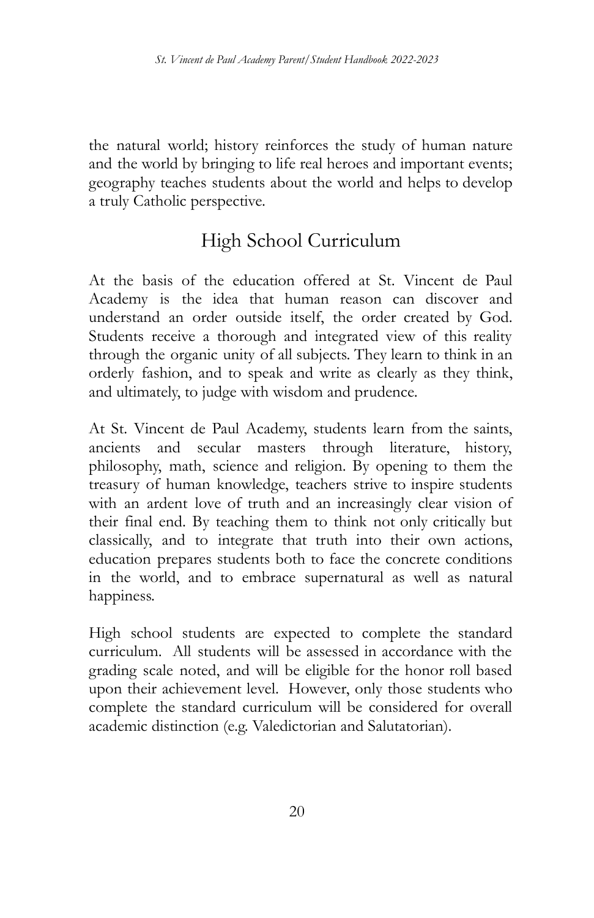the natural world; history reinforces the study of human nature and the world by bringing to life real heroes and important events; geography teaches students about the world and helps to develop a truly Catholic perspective.

# High School Curriculum

At the basis of the education offered at St. Vincent de Paul Academy is the idea that human reason can discover and understand an order outside itself, the order created by God. Students receive a thorough and integrated view of this reality through the organic unity of all subjects. They learn to think in an orderly fashion, and to speak and write as clearly as they think, and ultimately, to judge with wisdom and prudence.

At St. Vincent de Paul Academy, students learn from the saints, ancients and secular masters through literature, history, philosophy, math, science and religion. By opening to them the treasury of human knowledge, teachers strive to inspire students with an ardent love of truth and an increasingly clear vision of their final end. By teaching them to think not only critically but classically, and to integrate that truth into their own actions, education prepares students both to face the concrete conditions in the world, and to embrace supernatural as well as natural happiness.

High school students are expected to complete the standard curriculum. All students will be assessed in accordance with the grading scale noted, and will be eligible for the honor roll based upon their achievement level. However, only those students who complete the standard curriculum will be considered for overall academic distinction (e.g. Valedictorian and Salutatorian).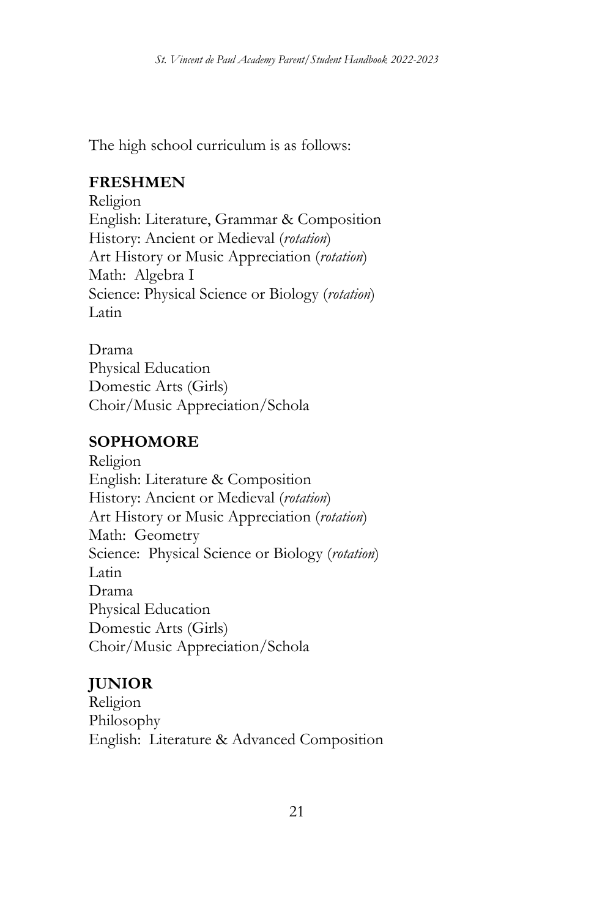The high school curriculum is as follows:

### **FRESHMEN**

Religion English: Literature, Grammar & Composition History: Ancient or Medieval (*rotation*) Art History or Music Appreciation (*rotation*) Math: Algebra I Science: Physical Science or Biology (*rotation*) Latin

#### Drama

Physical Education Domestic Arts (Girls) Choir/Music Appreciation/Schola

### **SOPHOMORE**

Religion English: Literature & Composition History: Ancient or Medieval (*rotation*) Art History or Music Appreciation (*rotation*) Math: Geometry Science: Physical Science or Biology (*rotation*) Latin Drama Physical Education Domestic Arts (Girls) Choir/Music Appreciation/Schola

### **JUNIOR**

Religion Philosophy English: Literature & Advanced Composition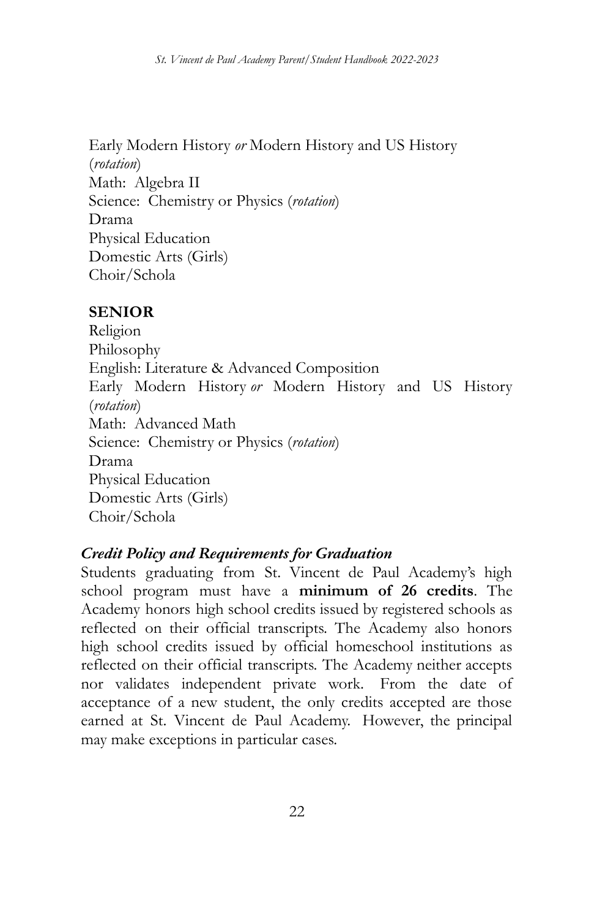Early Modern History *or* Modern History and US History (*rotation*) Math: Algebra II Science: Chemistry or Physics (*rotation*) Drama Physical Education Domestic Arts (Girls) Choir/Schola

#### **SENIOR**

Religion Philosophy English: Literature & Advanced Composition Early Modern History *or* Modern History and US History (*rotation*) Math: Advanced Math Science: Chemistry or Physics (*rotation*) Drama Physical Education Domestic Arts (Girls) Choir/Schola

#### *Credit Policy and Requirements for Graduation*

Students graduating from St. Vincent de Paul Academy's high school program must have a **minimum of 26 credits**. The Academy honors high school credits issued by registered schools as reflected on their official transcripts. The Academy also honors high school credits issued by official homeschool institutions as reflected on their official transcripts. The Academy neither accepts nor validates independent private work. From the date of acceptance of a new student, the only credits accepted are those earned at St. Vincent de Paul Academy. However, the principal may make exceptions in particular cases.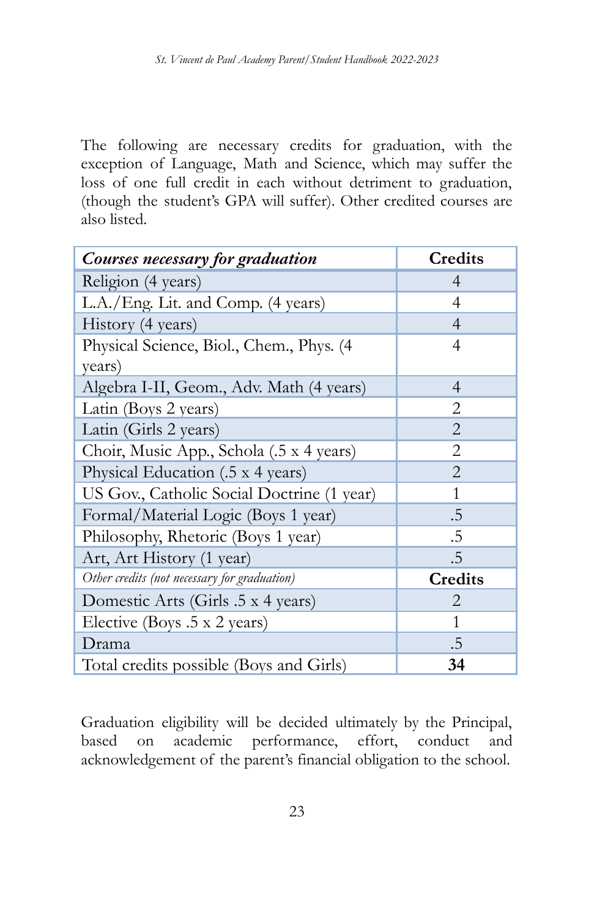The following are necessary credits for graduation, with the exception of Language, Math and Science, which may suffer the loss of one full credit in each without detriment to graduation, (though the student's GPA will suffer). Other credited courses are also listed.

| Courses necessary for graduation             | Credits        |
|----------------------------------------------|----------------|
| Religion (4 years)                           | 4              |
| L.A./Eng. Lit. and Comp. (4 years)           | 4              |
| History (4 years)                            | 4              |
| Physical Science, Biol., Chem., Phys. (4)    | 4              |
| years)                                       |                |
| Algebra I-II, Geom., Adv. Math (4 years)     | $\overline{4}$ |
| Latin (Boys 2 years)                         | 2              |
| Latin (Girls 2 years)                        | $\overline{2}$ |
| Choir, Music App., Schola (.5 x 4 years)     | 2              |
| Physical Education (.5 x 4 years)            | $\overline{2}$ |
| US Gov., Catholic Social Doctrine (1 year)   | 1              |
| Formal/Material Logic (Boys 1 year)          | .5             |
| Philosophy, Rhetoric (Boys 1 year)           | .5             |
| Art, Art History (1 year)                    | .5             |
| Other credits (not necessary for graduation) | <b>Credits</b> |
| Domestic Arts (Girls .5 x 4 years)           | 2              |
| Elective (Boys .5 x 2 years)                 | 1              |
| Drama                                        | .5             |
| Total credits possible (Boys and Girls)      | 34             |

Graduation eligibility will be decided ultimately by the Principal, based on academic performance, effort, conduct and acknowledgement of the parent's financial obligation to the school.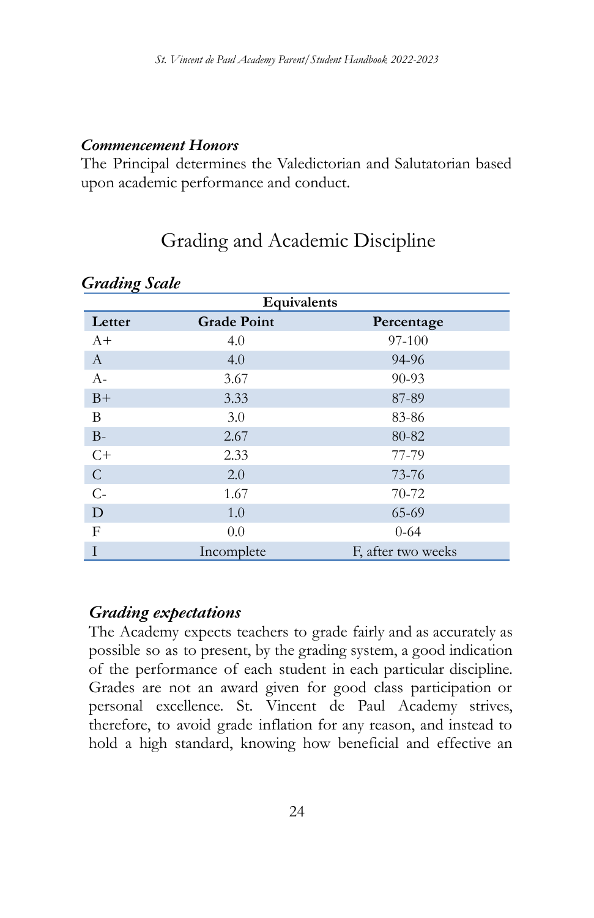#### *Commencement Honors*

The Principal determines the Valedictorian and Salutatorian based upon academic performance and conduct.

# Grading and Academic Discipline

| Equivalents   |                    |                    |  |  |
|---------------|--------------------|--------------------|--|--|
| Letter        | <b>Grade Point</b> | Percentage         |  |  |
| $A+$          | 4.0                | 97-100             |  |  |
| $\mathbf{A}$  | 4.0                | 94-96              |  |  |
| $A-$          | 3.67               | $90 - 93$          |  |  |
| $B+$          | 3.33               | 87-89              |  |  |
| B             | 3.0                | 83-86              |  |  |
| $B-$          | 2.67               | 80-82              |  |  |
| $C+$          | 2.33               | 77-79              |  |  |
| $\mathcal{C}$ | 2.0                | 73-76              |  |  |
| $C -$         | 1.67               | 70-72              |  |  |
| D             | 1.0                | 65-69              |  |  |
| F             | 0.0                | $0 - 64$           |  |  |
| T             | Incomplete         | F, after two weeks |  |  |

#### *Grading Scale*

### *Grading expectations*

The Academy expects teachers to grade fairly and as accurately as possible so as to present, by the grading system, a good indication of the performance of each student in each particular discipline. Grades are not an award given for good class participation or personal excellence. St. Vincent de Paul Academy strives, therefore, to avoid grade inflation for any reason, and instead to hold a high standard, knowing how beneficial and effective an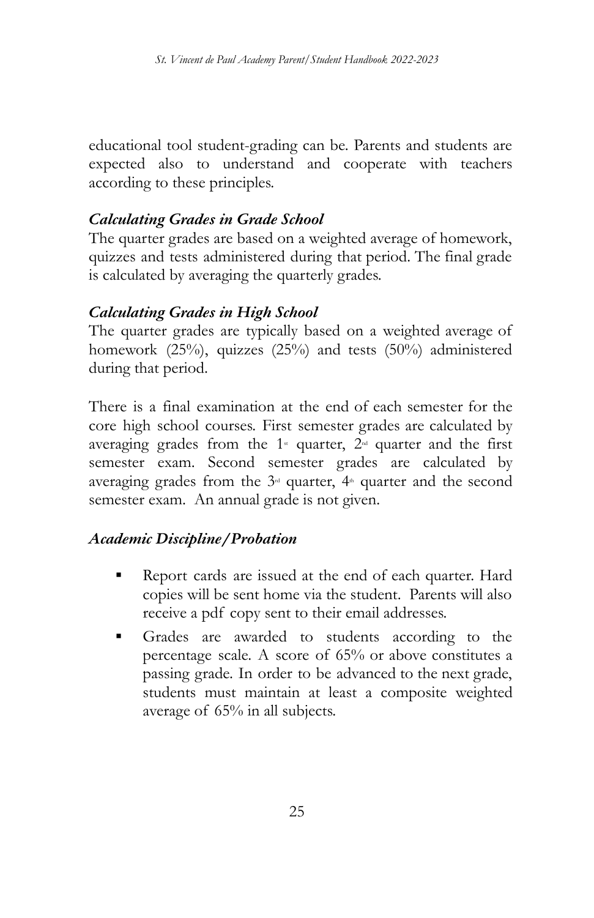educational tool student-grading can be. Parents and students are expected also to understand and cooperate with teachers according to these principles.

#### *Calculating Grades in Grade School*

The quarter grades are based on a weighted average of homework, quizzes and tests administered during that period. The final grade is calculated by averaging the quarterly grades.

#### *Calculating Grades in High School*

The quarter grades are typically based on a weighted average of homework (25%), quizzes (25%) and tests (50%) administered during that period.

There is a final examination at the end of each semester for the core high school courses. First semester grades are calculated by averaging grades from the  $1*$  quarter,  $2*$  quarter and the first semester exam. Second semester grades are calculated by averaging grades from the  $3<sup>d</sup>$  quarter,  $4<sup>th</sup>$  quarter and the second semester exam. An annual grade is not given.

#### *Academic Discipline/Probation*

- Report cards are issued at the end of each quarter. Hard copies will be sent home via the student. Parents will also receive a pdf copy sent to their email addresses.
- Grades are awarded to students according to the percentage scale. A score of 65% or above constitutes a passing grade. In order to be advanced to the next grade, students must maintain at least a composite weighted average of 65% in all subjects.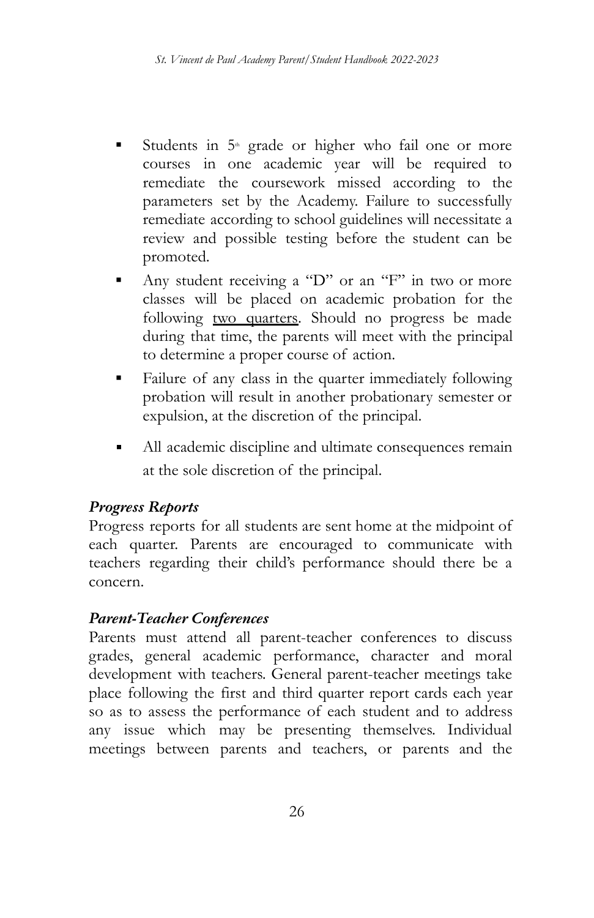- Students in  $5<sup>th</sup>$  grade or higher who fail one or more courses in one academic year will be required to remediate the coursework missed according to the parameters set by the Academy. Failure to successfully remediate according to school guidelines will necessitate a review and possible testing before the student can be promoted.
- Any student receiving a "D" or an "F" in two or more classes will be placed on academic probation for the following two quarters. Should no progress be made during that time, the parents will meet with the principal to determine a proper course of action.
- Failure of any class in the quarter immediately following probation will result in another probationary semester or expulsion, at the discretion of the principal.
- All academic discipline and ultimate consequences remain at the sole discretion of the principal.

### *Progress Reports*

Progress reports for all students are sent home at the midpoint of each quarter. Parents are encouraged to communicate with teachers regarding their child's performance should there be a concern.

### *Parent-Teacher Conferences*

Parents must attend all parent-teacher conferences to discuss grades, general academic performance, character and moral development with teachers. General parent-teacher meetings take place following the first and third quarter report cards each year so as to assess the performance of each student and to address any issue which may be presenting themselves. Individual meetings between parents and teachers, or parents and the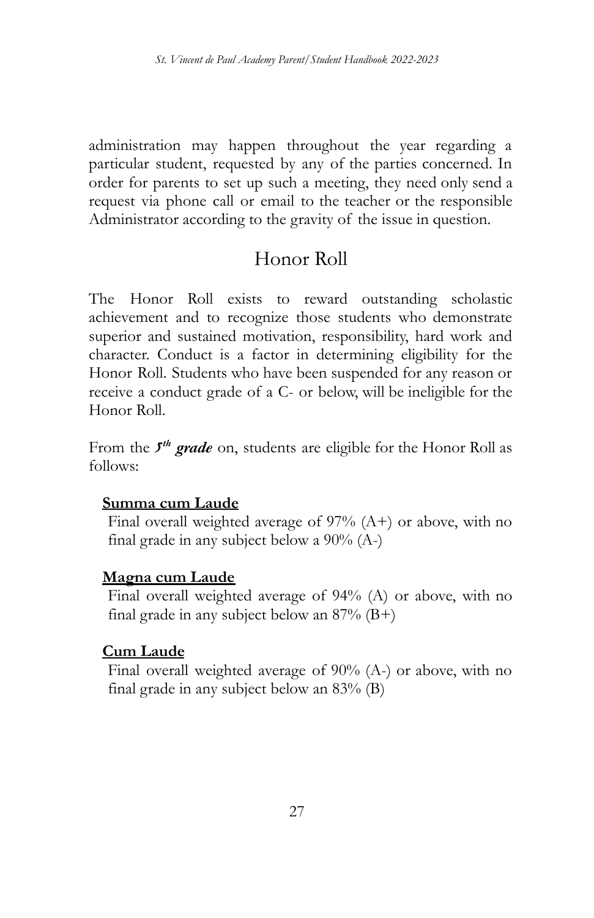administration may happen throughout the year regarding a particular student, requested by any of the parties concerned. In order for parents to set up such a meeting, they need only send a request via phone call or email to the teacher or the responsible Administrator according to the gravity of the issue in question.

# Honor Roll

The Honor Roll exists to reward outstanding scholastic achievement and to recognize those students who demonstrate superior and sustained motivation, responsibility, hard work and character. Conduct is a factor in determining eligibility for the Honor Roll. Students who have been suspended for any reason or receive a conduct grade of a C- or below, will be ineligible for the Honor Roll.

From the *5 th grade* on, students are eligible for the Honor Roll as follows:

#### **Summa cum Laude**

Final overall weighted average of 97% (A+) or above, with no final grade in any subject below a 90% (A-)

#### **Magna cum Laude**

Final overall weighted average of 94% (A) or above, with no final grade in any subject below an  $87\%$  (B+)

#### **Cum Laude**

Final overall weighted average of 90% (A-) or above, with no final grade in any subject below an 83% (B)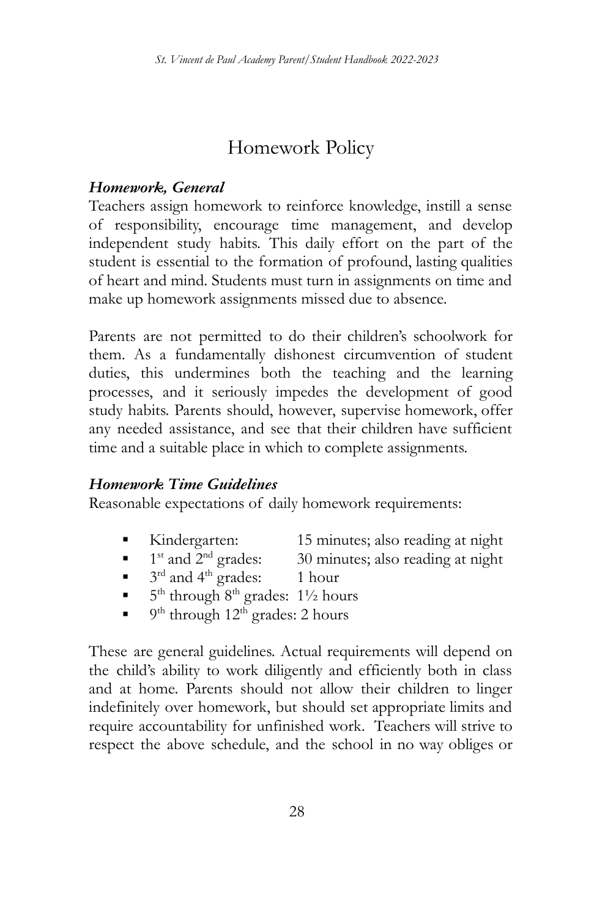# Homework Policy

### *Homework, General*

Teachers assign homework to reinforce knowledge, instill a sense of responsibility, encourage time management, and develop independent study habits. This daily effort on the part of the student is essential to the formation of profound, lasting qualities of heart and mind. Students must turn in assignments on time and make up homework assignments missed due to absence.

Parents are not permitted to do their children's schoolwork for them. As a fundamentally dishonest circumvention of student duties, this undermines both the teaching and the learning processes, and it seriously impedes the development of good study habits. Parents should, however, supervise homework, offer any needed assistance, and see that their children have sufficient time and a suitable place in which to complete assignments.

#### *Homework Time Guidelines*

Reasonable expectations of daily homework requirements:

- Kindergarten: 15 minutes; also reading at night
- $\blacksquare$  1<sup>st</sup> and 2<sup>t</sup> 30 minutes; also reading at night
- $\bullet$  3<sup>rd</sup> and 4<sup>th</sup> grades: 1 hour
- $\blacksquare$  5<sup>th</sup> through 8<sup>th</sup> grades: 1<sup>1</sup>/<sub>2</sub> hours
- $\bullet$  9<sup>th</sup> through 12<sup>th</sup> grades: 2 hours

These are general guidelines. Actual requirements will depend on the child's ability to work diligently and efficiently both in class and at home. Parents should not allow their children to linger indefinitely over homework, but should set appropriate limits and require accountability for unfinished work. Teachers will strive to respect the above schedule, and the school in no way obliges or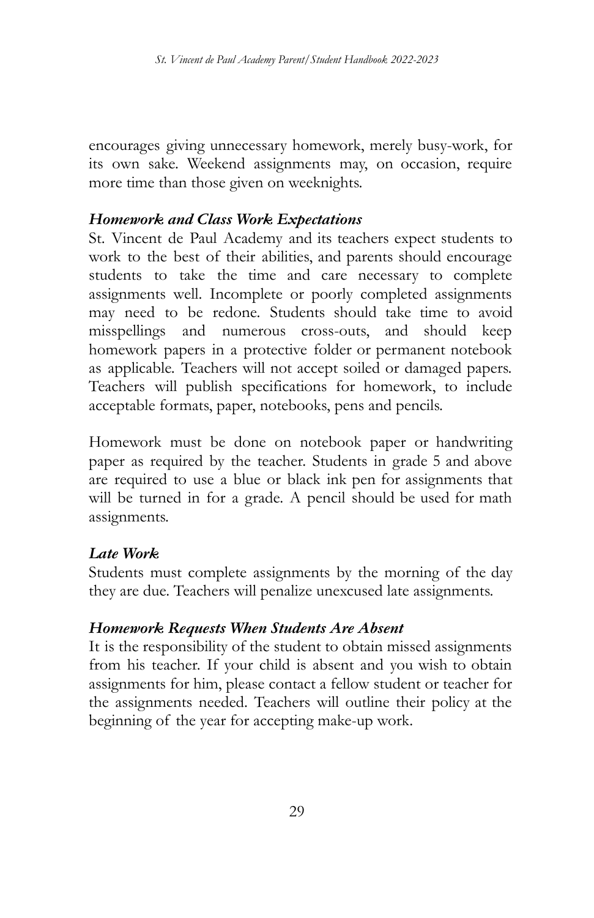encourages giving unnecessary homework, merely busy-work, for its own sake. Weekend assignments may, on occasion, require more time than those given on weeknights.

#### *Homework and Class Work Expectations*

St. Vincent de Paul Academy and its teachers expect students to work to the best of their abilities, and parents should encourage students to take the time and care necessary to complete assignments well. Incomplete or poorly completed assignments may need to be redone. Students should take time to avoid misspellings and numerous cross-outs, and should keep homework papers in a protective folder or permanent notebook as applicable. Teachers will not accept soiled or damaged papers. Teachers will publish specifications for homework, to include acceptable formats, paper, notebooks, pens and pencils.

Homework must be done on notebook paper or handwriting paper as required by the teacher. Students in grade 5 and above are required to use a blue or black ink pen for assignments that will be turned in for a grade. A pencil should be used for math assignments.

#### *Late Work*

Students must complete assignments by the morning of the day they are due. Teachers will penalize unexcused late assignments.

#### *Homework Requests When Students Are Absent*

It is the responsibility of the student to obtain missed assignments from his teacher. If your child is absent and you wish to obtain assignments for him, please contact a fellow student or teacher for the assignments needed. Teachers will outline their policy at the beginning of the year for accepting make-up work.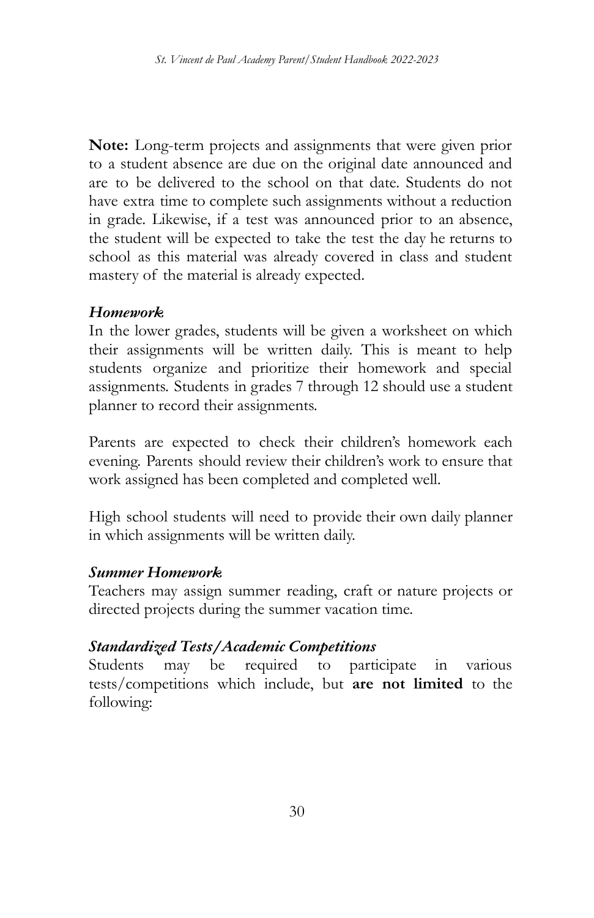**Note:** Long-term projects and assignments that were given prior to a student absence are due on the original date announced and are to be delivered to the school on that date. Students do not have extra time to complete such assignments without a reduction in grade. Likewise, if a test was announced prior to an absence, the student will be expected to take the test the day he returns to school as this material was already covered in class and student mastery of the material is already expected.

#### *Homework*

In the lower grades, students will be given a worksheet on which their assignments will be written daily. This is meant to help students organize and prioritize their homework and special assignments. Students in grades 7 through 12 should use a student planner to record their assignments.

Parents are expected to check their children's homework each evening. Parents should review their children's work to ensure that work assigned has been completed and completed well.

High school students will need to provide their own daily planner in which assignments will be written daily.

#### *Summer Homework*

Teachers may assign summer reading, craft or nature projects or directed projects during the summer vacation time.

### *Standardized Tests/Academic Competitions*

Students may be required to participate in various tests/competitions which include, but **are not limited** to the following: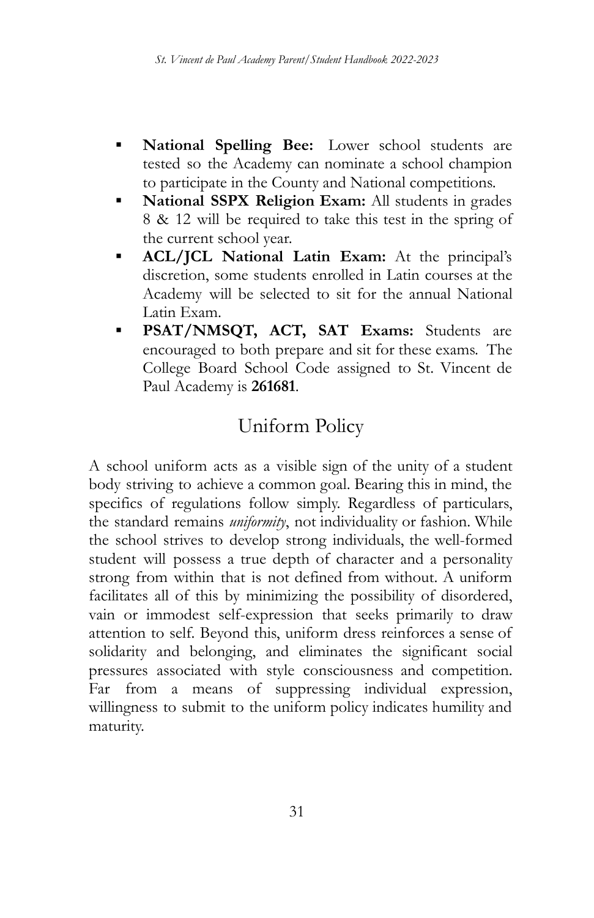- National Spelling Bee: Lower school students are tested so the Academy can nominate a school champion to participate in the County and National competitions.
- **National SSPX Religion Exam:** All students in grades 8 & 12 will be required to take this test in the spring of the current school year.
- **ACL/JCL National Latin Exam:** At the principal's discretion, some students enrolled in Latin courses at the Academy will be selected to sit for the annual National Latin Exam.
- **PSAT/NMSQT, ACT, SAT Exams:** Students are encouraged to both prepare and sit for these exams. The College Board School Code assigned to St. Vincent de Paul Academy is **261681**.

# Uniform Policy

A school uniform acts as a visible sign of the unity of a student body striving to achieve a common goal. Bearing this in mind, the specifics of regulations follow simply. Regardless of particulars, the standard remains *uniformity*, not individuality or fashion. While the school strives to develop strong individuals, the well-formed student will possess a true depth of character and a personality strong from within that is not defined from without. A uniform facilitates all of this by minimizing the possibility of disordered, vain or immodest self-expression that seeks primarily to draw attention to self. Beyond this, uniform dress reinforces a sense of solidarity and belonging, and eliminates the significant social pressures associated with style consciousness and competition. Far from a means of suppressing individual expression, willingness to submit to the uniform policy indicates humility and maturity.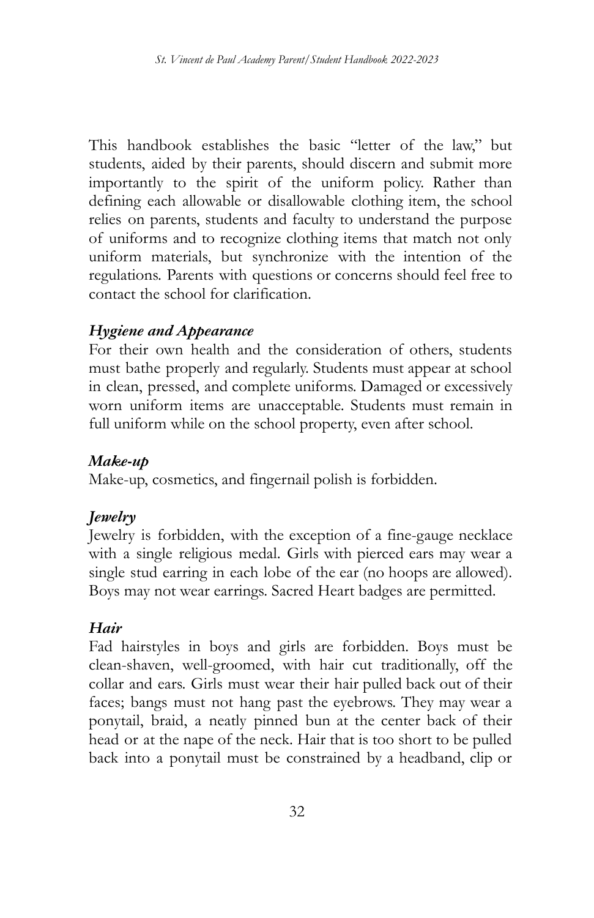This handbook establishes the basic "letter of the law," but students, aided by their parents, should discern and submit more importantly to the spirit of the uniform policy. Rather than defining each allowable or disallowable clothing item, the school relies on parents, students and faculty to understand the purpose of uniforms and to recognize clothing items that match not only uniform materials, but synchronize with the intention of the regulations. Parents with questions or concerns should feel free to contact the school for clarification.

#### *Hygiene and Appearance*

For their own health and the consideration of others, students must bathe properly and regularly. Students must appear at school in clean, pressed, and complete uniforms. Damaged or excessively worn uniform items are unacceptable. Students must remain in full uniform while on the school property, even after school.

#### *Make-up*

Make-up, cosmetics, and fingernail polish is forbidden.

#### *Jewelry*

Jewelry is forbidden, with the exception of a fine-gauge necklace with a single religious medal. Girls with pierced ears may wear a single stud earring in each lobe of the ear (no hoops are allowed). Boys may not wear earrings. Sacred Heart badges are permitted.

#### *Hair*

Fad hairstyles in boys and girls are forbidden. Boys must be clean-shaven, well-groomed, with hair cut traditionally, off the collar and ears. Girls must wear their hair pulled back out of their faces; bangs must not hang past the eyebrows. They may wear a ponytail, braid, a neatly pinned bun at the center back of their head or at the nape of the neck. Hair that is too short to be pulled back into a ponytail must be constrained by a headband, clip or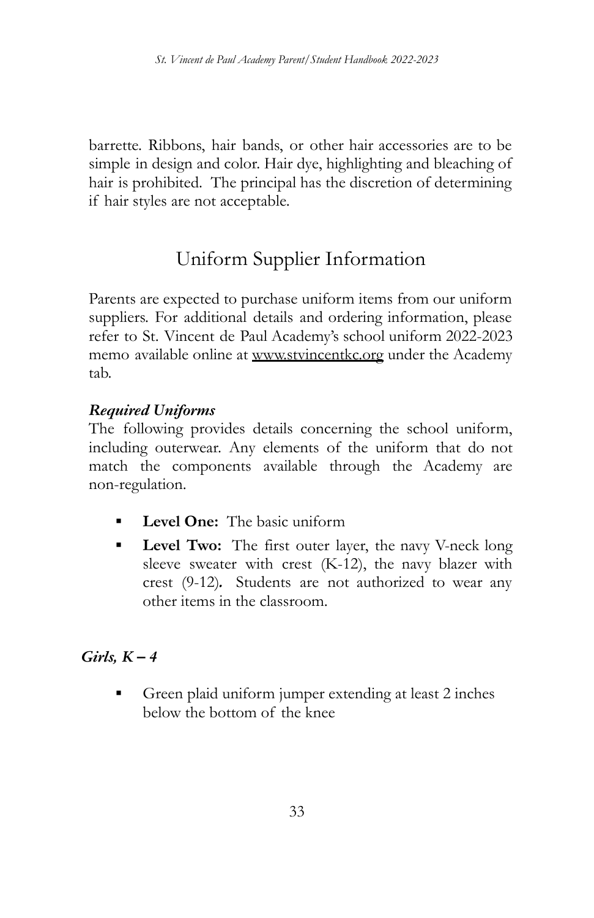barrette. Ribbons, hair bands, or other hair accessories are to be simple in design and color. Hair dye, highlighting and bleaching of hair is prohibited. The principal has the discretion of determining if hair styles are not acceptable.

# Uniform Supplier Information

Parents are expected to purchase uniform items from our uniform suppliers. For additional details and ordering information, please refer to St. Vincent de Paul Academy's school uniform 2022-2023 memo available online at www.stvincentkc.org under the Academy tab.

### *Required Uniforms*

The following provides details concerning the school uniform, including outerwear. Any elements of the uniform that do not match the components available through the Academy are non-regulation.

- **Level One:** The basic uniform
- Level Two: The first outer layer, the navy V-neck long sleeve sweater with crest (K-12), the navy blazer with crest (9-12)*.* Students are not authorized to wear any other items in the classroom.

### *Girls, K – 4*

Green plaid uniform jumper extending at least 2 inches below the bottom of the knee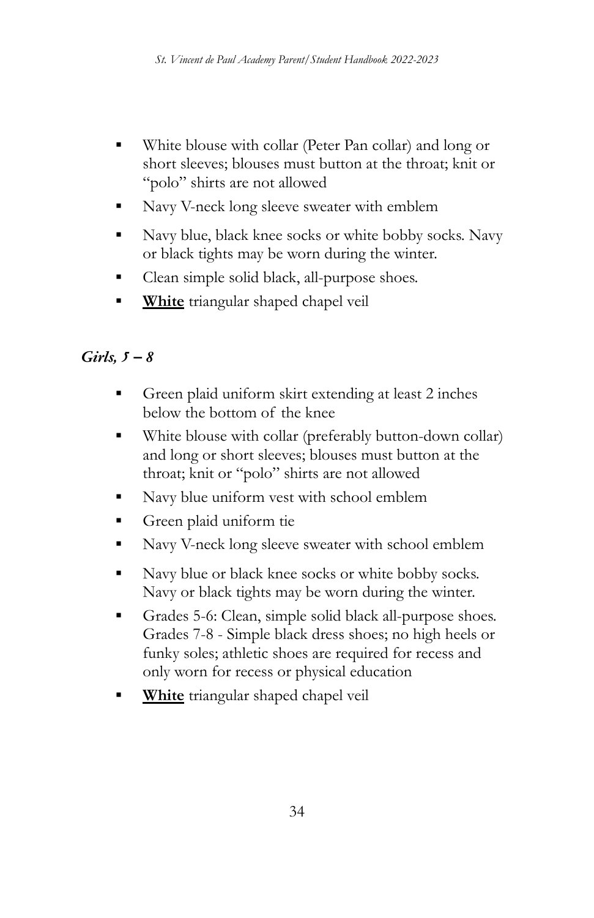- White blouse with collar (Peter Pan collar) and long or short sleeves; blouses must button at the throat; knit or "polo" shirts are not allowed
- **EXACT:** Navy V-neck long sleeve sweater with emblem
- Navy blue, black knee socks or white bobby socks. Navy or black tights may be worn during the winter.
- Clean simple solid black, all-purpose shoes.
- **White** triangular shaped chapel veil

## *Girls, 5 – 8*

- Green plaid uniform skirt extending at least 2 inches below the bottom of the knee
- White blouse with collar (preferably button-down collar) and long or short sleeves; blouses must button at the throat; knit or "polo" shirts are not allowed
- Navy blue uniform vest with school emblem
- **•** Green plaid uniform tie
- Navy V-neck long sleeve sweater with school emblem
- Navy blue or black knee socks or white bobby socks. Navy or black tights may be worn during the winter.
- Grades 5-6: Clean, simple solid black all-purpose shoes. Grades 7-8 - Simple black dress shoes; no high heels or funky soles; athletic shoes are required for recess and only worn for recess or physical education
- **White** triangular shaped chapel veil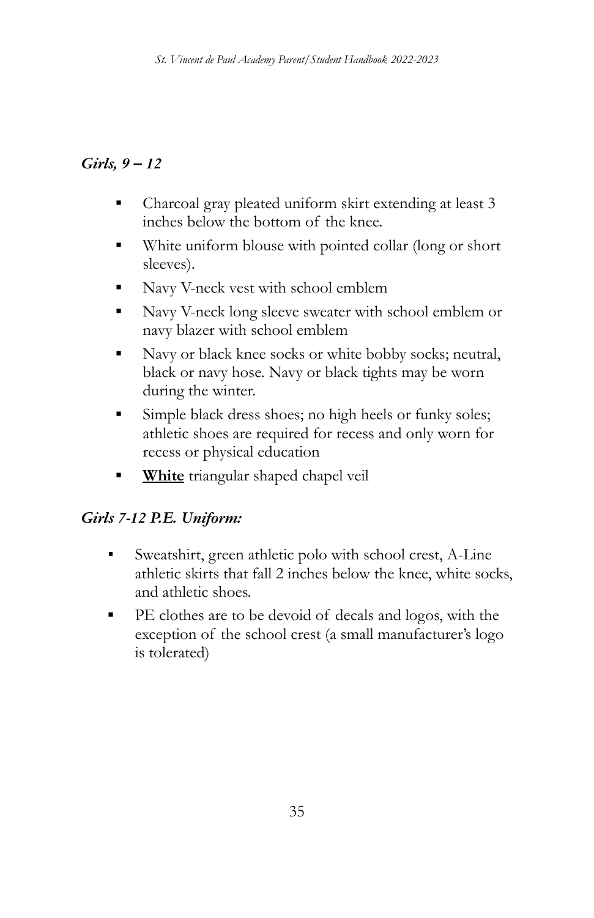### *Girls, 9 – 12*

- Charcoal gray pleated uniform skirt extending at least 3 inches below the bottom of the knee.
- White uniform blouse with pointed collar (long or short sleeves).
- Navy V-neck vest with school emblem
- Navy V-neck long sleeve sweater with school emblem or navy blazer with school emblem
- Navy or black knee socks or white bobby socks; neutral, black or navy hose. Navy or black tights may be worn during the winter.
- Simple black dress shoes; no high heels or funky soles; athletic shoes are required for recess and only worn for recess or physical education
- **White** triangular shaped chapel veil

## *Girls 7-12 P.E. Uniform:*

- *▪* Sweatshirt, green athletic polo with school crest, A-Line athletic skirts that fall 2 inches below the knee, white socks, and athletic shoes.
- PE clothes are to be devoid of decals and logos, with the exception of the school crest (a small manufacturer's logo is tolerated)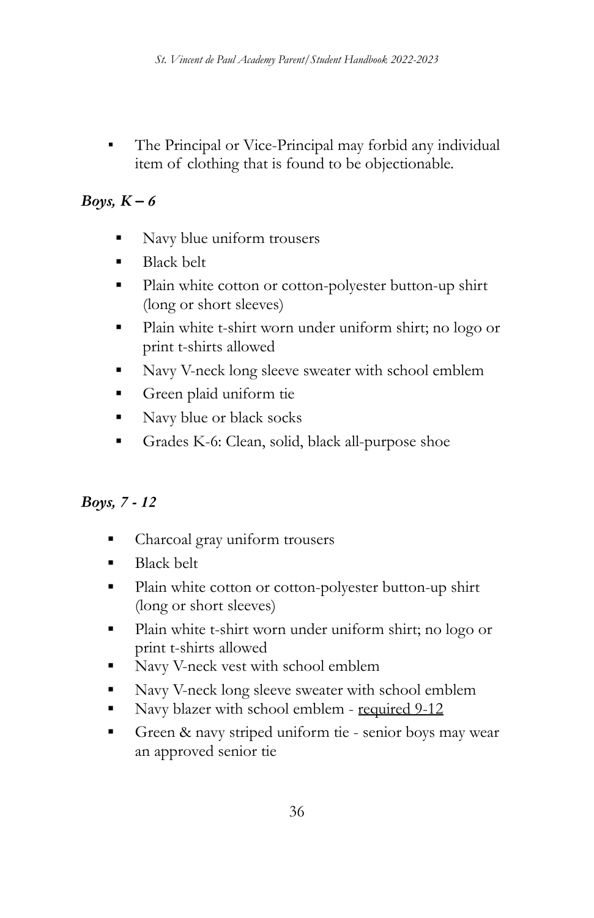The Principal or Vice-Principal may forbid any individual item of clothing that is found to be objectionable.

## *Boys, K – 6*

- Navy blue uniform trousers
- **Black belt**
- Plain white cotton or cotton-polyester button-up shirt (long or short sleeves)
- Plain white t-shirt worn under uniform shirt; no logo or print t-shirts allowed
- Navy V-neck long sleeve sweater with school emblem
- Green plaid uniform tie
- Navy blue or black socks
- Grades K-6: Clean, solid, black all-purpose shoe

## *Boys, 7 - 12*

- Charcoal gray uniform trousers
- Black belt
- Plain white cotton or cotton-polyester button-up shirt (long or short sleeves)
- Plain white t-shirt worn under uniform shirt; no logo or print t-shirts allowed
- Navy V-neck vest with school emblem
- Navy V-neck long sleeve sweater with school emblem
- Navy blazer with school emblem required 9-12
- Green & navy striped uniform tie senior boys may wear an approved senior tie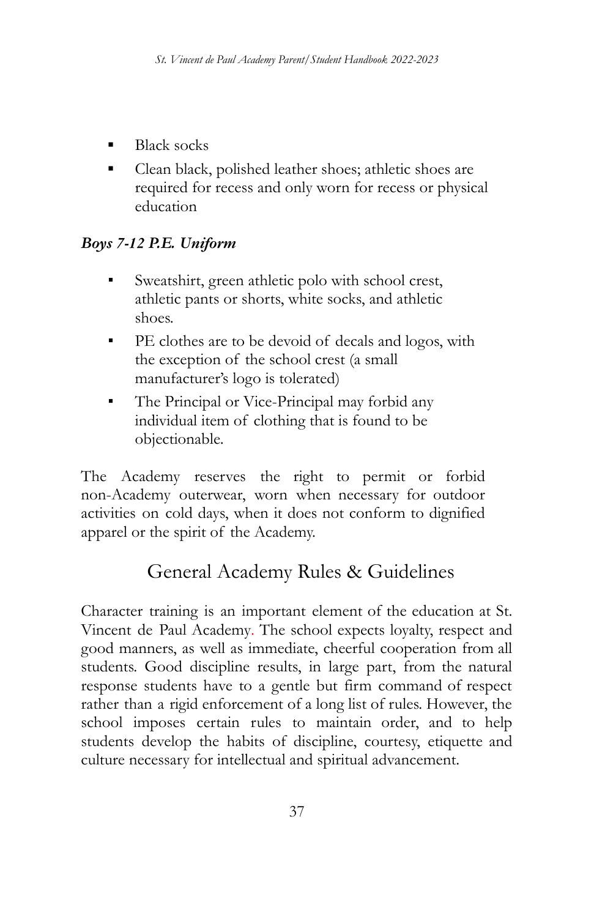- **Black socks**
- **▪** Clean black, polished leather shoes; athletic shoes are required for recess and only worn for recess or physical education

# *Boys 7-12 P.E. Uniform*

- *▪* Sweatshirt, green athletic polo with school crest, athletic pants or shorts, white socks, and athletic shoes.
- **■** PE clothes are to be devoid of decals and logos, with the exception of the school crest (a small manufacturer's logo is tolerated)
- **•** The Principal or Vice-Principal may forbid any individual item of clothing that is found to be objectionable.

The Academy reserves the right to permit or forbid non-Academy outerwear, worn when necessary for outdoor activities on cold days, when it does not conform to dignified apparel or the spirit of the Academy.

# General Academy Rules & Guidelines

Character training is an important element of the education at St. Vincent de Paul Academy. The school expects loyalty, respect and good manners, as well as immediate, cheerful cooperation from all students. Good discipline results, in large part, from the natural response students have to a gentle but firm command of respect rather than a rigid enforcement of a long list of rules. However, the school imposes certain rules to maintain order, and to help students develop the habits of discipline, courtesy, etiquette and culture necessary for intellectual and spiritual advancement.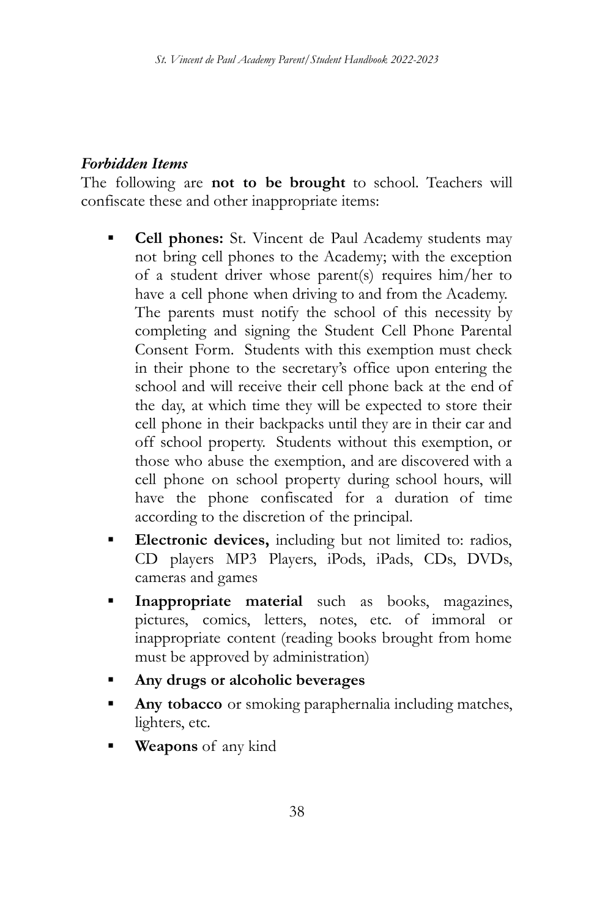### *Forbidden Items*

The following are **not to be brought** to school. Teachers will confiscate these and other inappropriate items:

- **Cell phones:** St. Vincent de Paul Academy students may not bring cell phones to the Academy; with the exception of a student driver whose parent(s) requires him/her to have a cell phone when driving to and from the Academy. The parents must notify the school of this necessity by completing and signing the Student Cell Phone Parental Consent Form. Students with this exemption must check in their phone to the secretary's office upon entering the school and will receive their cell phone back at the end of the day, at which time they will be expected to store their cell phone in their backpacks until they are in their car and off school property. Students without this exemption, or those who abuse the exemption, and are discovered with a cell phone on school property during school hours, will have the phone confiscated for a duration of time according to the discretion of the principal.
- **Electronic devices,** including but not limited to: radios, CD players MP3 Players, iPods, iPads, CDs, DVDs, cameras and games
- **Inappropriate material** such as books, magazines, pictures, comics, letters, notes, etc. of immoral or inappropriate content (reading books brought from home must be approved by administration)
- **▪ Any drugs or alcoholic beverages**
- Any **tobacco** or smoking paraphernalia including matches, lighters, etc.
- **Weapons** of any kind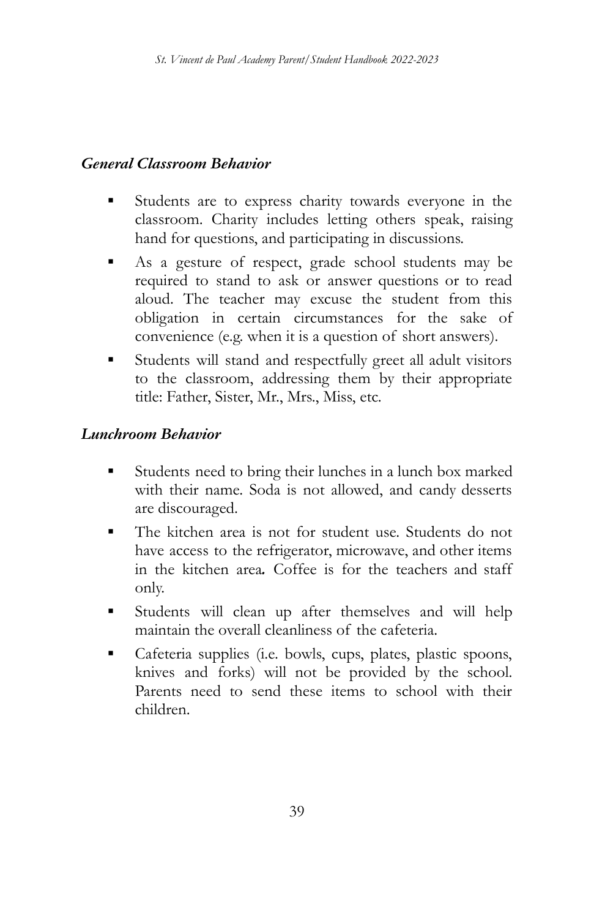### *General Classroom Behavior*

- Students are to express charity towards everyone in the classroom. Charity includes letting others speak, raising hand for questions, and participating in discussions.
- As a gesture of respect, grade school students may be required to stand to ask or answer questions or to read aloud. The teacher may excuse the student from this obligation in certain circumstances for the sake of convenience (e.g. when it is a question of short answers).
- **▪** Students will stand and respectfully greet all adult visitors to the classroom, addressing them by their appropriate title: Father, Sister, Mr., Mrs., Miss, etc.

#### *Lunchroom Behavior*

- Students need to bring their lunches in a lunch box marked with their name. Soda is not allowed, and candy desserts are discouraged.
- The kitchen area is not for student use. Students do not have access to the refrigerator, microwave, and other items in the kitchen area*.* Coffee is for the teachers and staff only.
- Students will clean up after themselves and will help maintain the overall cleanliness of the cafeteria.
- Cafeteria supplies (i.e. bowls, cups, plates, plastic spoons, knives and forks) will not be provided by the school. Parents need to send these items to school with their children.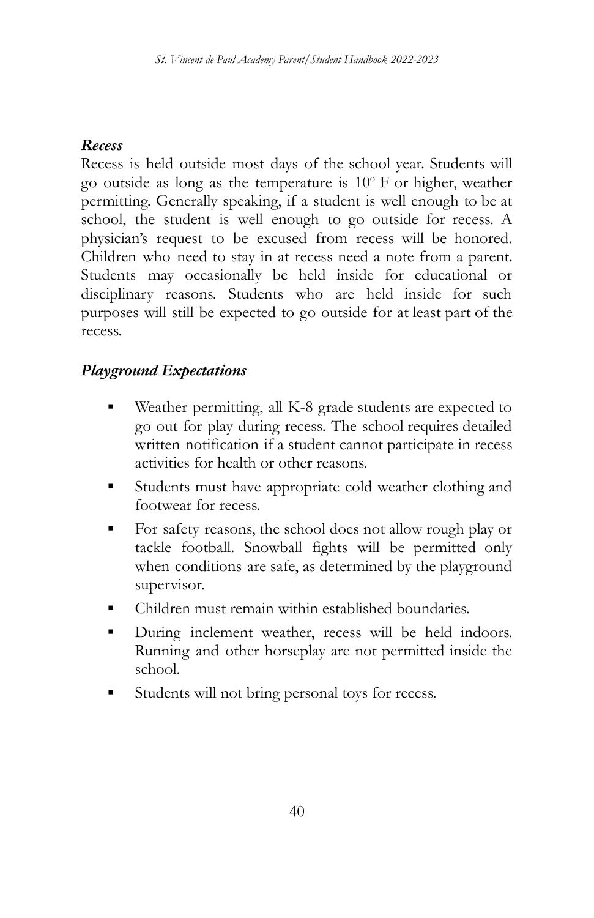### *Recess*

Recess is held outside most days of the school year. Students will go outside as long as the temperature is 10° F or higher, weather permitting. Generally speaking, if a student is well enough to be at school, the student is well enough to go outside for recess. A physician's request to be excused from recess will be honored. Children who need to stay in at recess need a note from a parent. Students may occasionally be held inside for educational or disciplinary reasons. Students who are held inside for such purposes will still be expected to go outside for at least part of the recess.

### *Playground Expectations*

- Weather permitting, all K-8 grade students are expected to go out for play during recess. The school requires detailed written notification if a student cannot participate in recess activities for health or other reasons.
- Students must have appropriate cold weather clothing and footwear for recess.
- For safety reasons, the school does not allow rough play or tackle football. Snowball fights will be permitted only when conditions are safe, as determined by the playground supervisor.
- Children must remain within established boundaries.
- **•** During inclement weather, recess will be held indoors. Running and other horseplay are not permitted inside the school.
- Students will not bring personal toys for recess.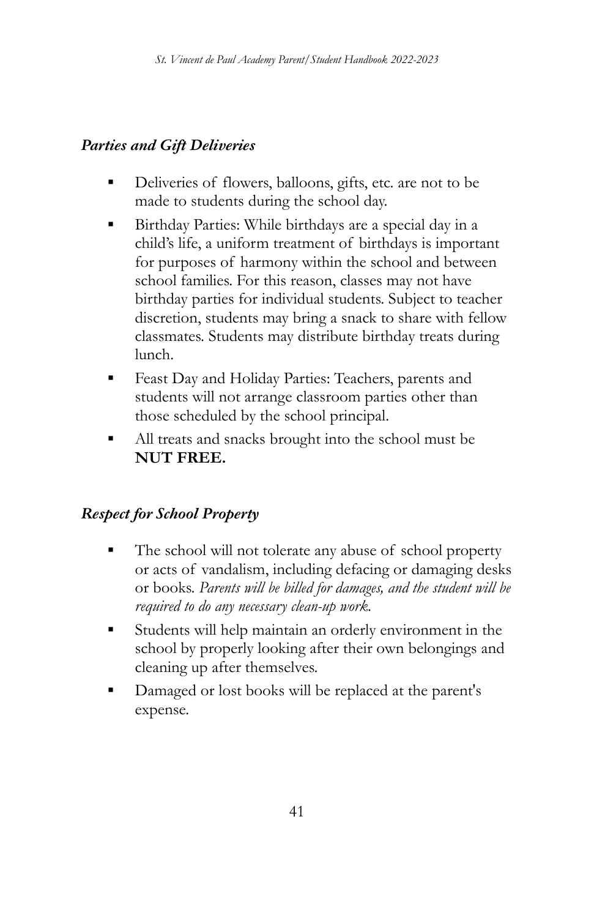### *Parties and Gift Deliveries*

- **▪** Deliveries of flowers, balloons, gifts, etc. are not to be made to students during the school day.
- Birthday Parties: While birthdays are a special day in a child's life, a uniform treatment of birthdays is important for purposes of harmony within the school and between school families. For this reason, classes may not have birthday parties for individual students. Subject to teacher discretion, students may bring a snack to share with fellow classmates. Students may distribute birthday treats during lunch.
- **Feast Day and Holiday Parties: Teachers, parents and** students will not arrange classroom parties other than those scheduled by the school principal.
- All treats and snacks brought into the school must be **NUT FREE.**

## *Respect for School Property*

- The school will not tolerate any abuse of school property or acts of vandalism, including defacing or damaging desks or books. *Parents will be billed for damages, and the student will be required to do any necessary clean-up work.*
- Students will help maintain an orderly environment in the school by properly looking after their own belongings and cleaning up after themselves.
- Damaged or lost books will be replaced at the parent's expense.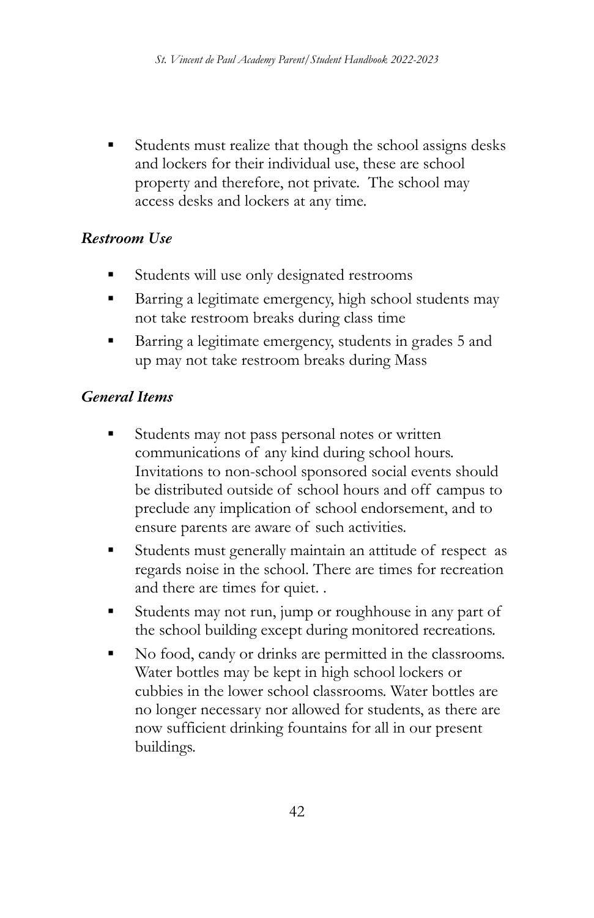Students must realize that though the school assigns desks and lockers for their individual use, these are school property and therefore, not private. The school may access desks and lockers at any time.

#### *Restroom Use*

- Students will use only designated restrooms
- Barring a legitimate emergency, high school students may not take restroom breaks during class time
- Barring a legitimate emergency, students in grades 5 and up may not take restroom breaks during Mass

### *General Items*

- Students may not pass personal notes or written communications of any kind during school hours. Invitations to non-school sponsored social events should be distributed outside of school hours and off campus to preclude any implication of school endorsement, and to ensure parents are aware of such activities.
- Students must generally maintain an attitude of respect as regards noise in the school. There are times for recreation and there are times for quiet. .
- Students may not run, jump or roughhouse in any part of the school building except during monitored recreations.
- No food, candy or drinks are permitted in the classrooms. Water bottles may be kept in high school lockers or cubbies in the lower school classrooms. Water bottles are no longer necessary nor allowed for students, as there are now sufficient drinking fountains for all in our present buildings.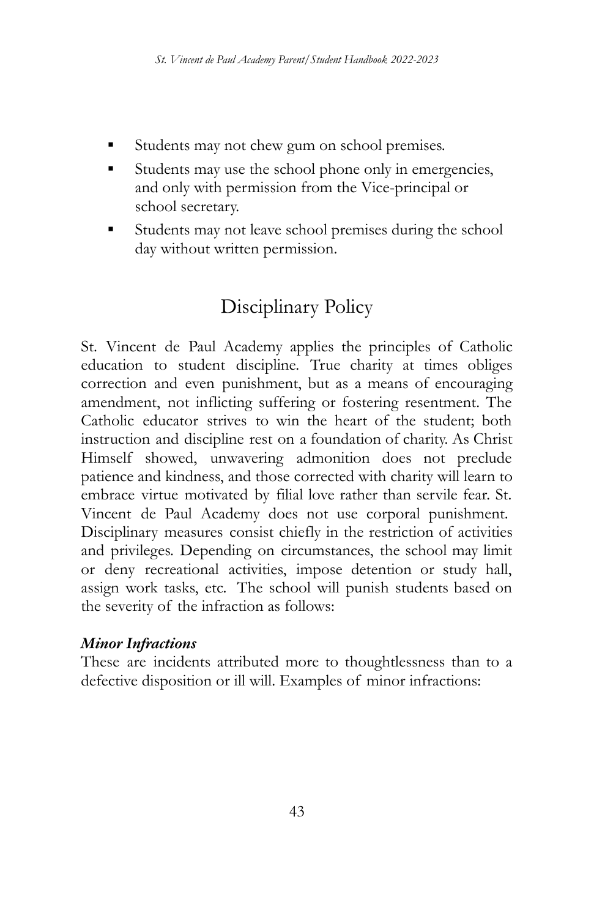- Students may not chew gum on school premises.
- Students may use the school phone only in emergencies, and only with permission from the Vice-principal or school secretary.
- Students may not leave school premises during the school day without written permission.

# Disciplinary Policy

St. Vincent de Paul Academy applies the principles of Catholic education to student discipline. True charity at times obliges correction and even punishment, but as a means of encouraging amendment, not inflicting suffering or fostering resentment. The Catholic educator strives to win the heart of the student; both instruction and discipline rest on a foundation of charity. As Christ Himself showed, unwavering admonition does not preclude patience and kindness, and those corrected with charity will learn to embrace virtue motivated by filial love rather than servile fear. St. Vincent de Paul Academy does not use corporal punishment. Disciplinary measures consist chiefly in the restriction of activities and privileges. Depending on circumstances, the school may limit or deny recreational activities, impose detention or study hall, assign work tasks, etc. The school will punish students based on the severity of the infraction as follows:

### *Minor Infractions*

These are incidents attributed more to thoughtlessness than to a defective disposition or ill will. Examples of minor infractions: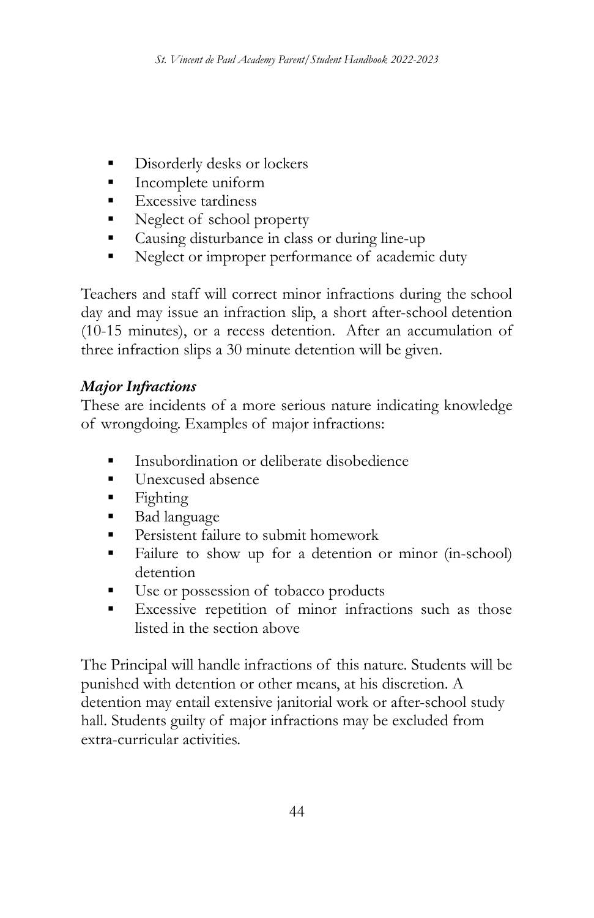- **▪** Disorderly desks or lockers
- **▪** Incomplete uniform
- **▪** Excessive tardiness
- Neglect of school property
- **▪** Causing disturbance in class or during line-up
- **▪** Neglect or improper performance of academic duty

Teachers and staff will correct minor infractions during the school day and may issue an infraction slip, a short after-school detention (10-15 minutes), or a recess detention. After an accumulation of three infraction slips a 30 minute detention will be given.

## *Major Infractions*

These are incidents of a more serious nature indicating knowledge of wrongdoing. Examples of major infractions:

- **▪** Insubordination or deliberate disobedience
- **▪** Unexcused absence
- **▪** Fighting
- Bad language
- **■** Persistent failure to submit homework
- Failure to show up for a detention or minor (in-school) detention
- **▪** Use or possession of tobacco products
- **▪** Excessive repetition of minor infractions such as those listed in the section above

The Principal will handle infractions of this nature. Students will be punished with detention or other means, at his discretion. A detention may entail extensive janitorial work or after-school study hall. Students guilty of major infractions may be excluded from extra-curricular activities.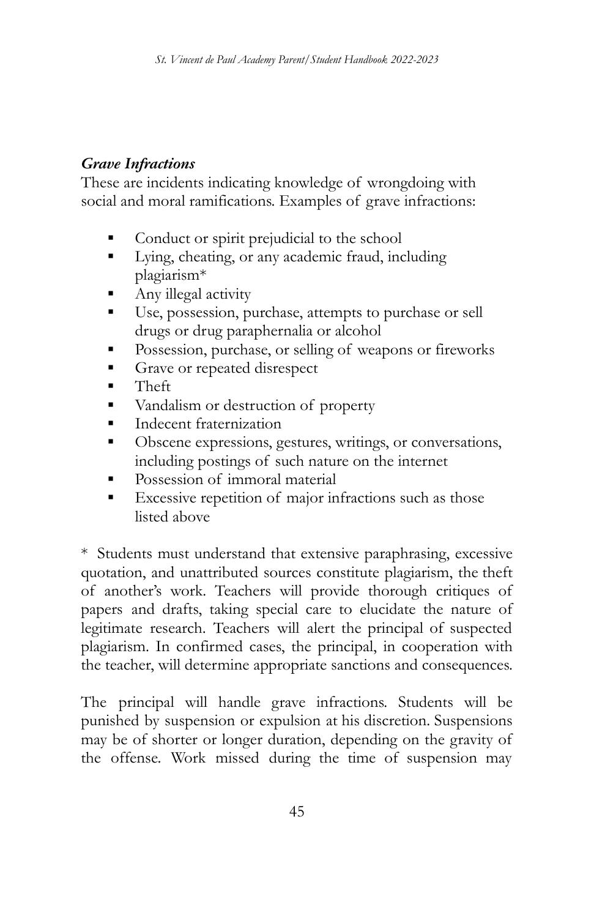## *Grave Infractions*

These are incidents indicating knowledge of wrongdoing with social and moral ramifications. Examples of grave infractions:

- Conduct or spirit prejudicial to the school
- Lying, cheating, or any academic fraud, including plagiarism\*
- Any illegal activity
- Use, possession, purchase, attempts to purchase or sell drugs or drug paraphernalia or alcohol
- **•** Possession, purchase, or selling of weapons or fireworks
- Grave or repeated disrespect
- Theft
- Vandalism or destruction of property
- **•** Indecent fraternization
- Obscene expressions, gestures, writings, or conversations, including postings of such nature on the internet
- Possession of immoral material
- Excessive repetition of major infractions such as those listed above

\* Students must understand that extensive paraphrasing, excessive quotation, and unattributed sources constitute plagiarism, the theft of another's work. Teachers will provide thorough critiques of papers and drafts, taking special care to elucidate the nature of legitimate research. Teachers will alert the principal of suspected plagiarism. In confirmed cases, the principal, in cooperation with the teacher, will determine appropriate sanctions and consequences.

The principal will handle grave infractions. Students will be punished by suspension or expulsion at his discretion. Suspensions may be of shorter or longer duration, depending on the gravity of the offense. Work missed during the time of suspension may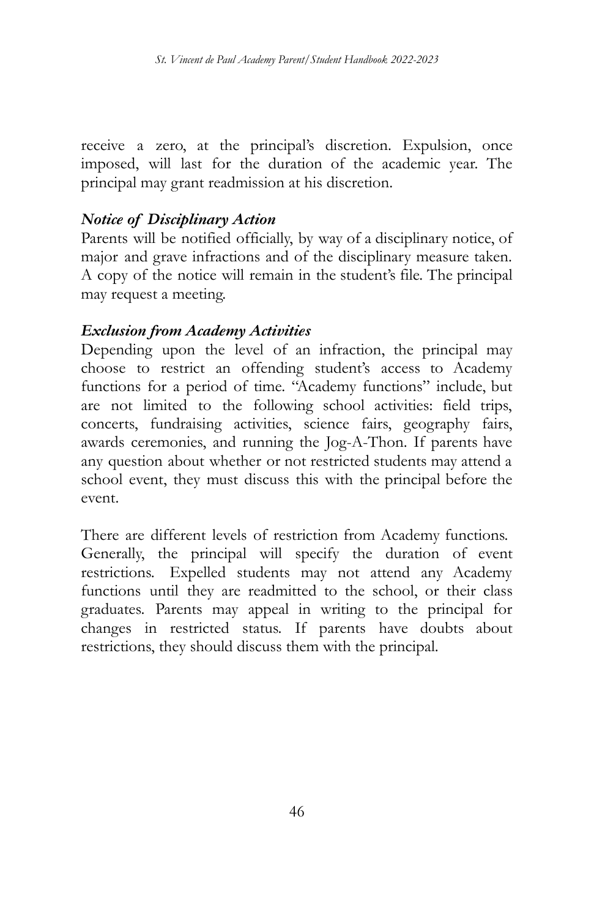receive a zero, at the principal's discretion. Expulsion, once imposed, will last for the duration of the academic year. The principal may grant readmission at his discretion.

#### *Notice of Disciplinary Action*

Parents will be notified officially, by way of a disciplinary notice, of major and grave infractions and of the disciplinary measure taken. A copy of the notice will remain in the student's file. The principal may request a meeting.

#### *Exclusion from Academy Activities*

Depending upon the level of an infraction, the principal may choose to restrict an offending student's access to Academy functions for a period of time. "Academy functions" include, but are not limited to the following school activities: field trips, concerts, fundraising activities, science fairs, geography fairs, awards ceremonies, and running the Jog-A-Thon. If parents have any question about whether or not restricted students may attend a school event, they must discuss this with the principal before the event.

There are different levels of restriction from Academy functions. Generally, the principal will specify the duration of event restrictions. Expelled students may not attend any Academy functions until they are readmitted to the school, or their class graduates. Parents may appeal in writing to the principal for changes in restricted status. If parents have doubts about restrictions, they should discuss them with the principal.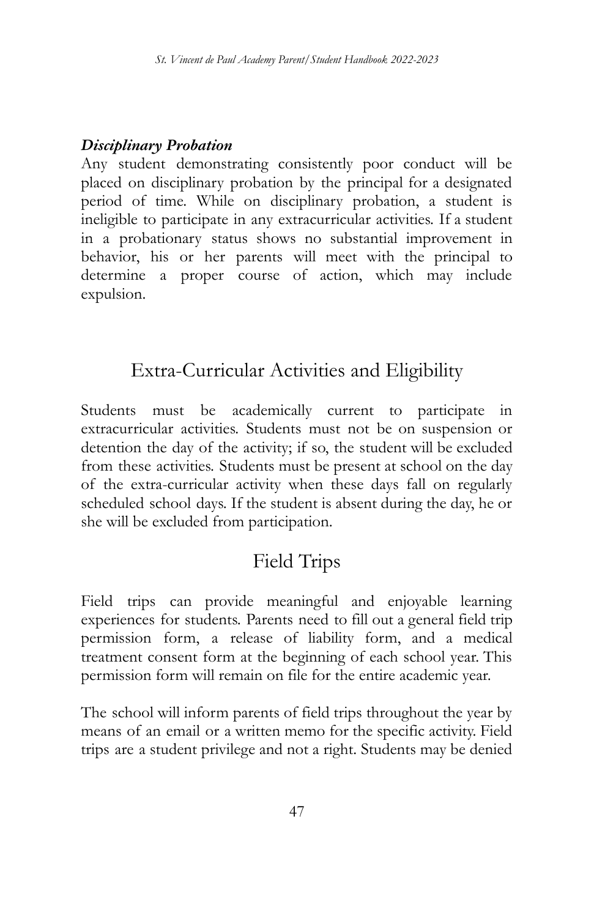### *Disciplinary Probation*

Any student demonstrating consistently poor conduct will be placed on disciplinary probation by the principal for a designated period of time. While on disciplinary probation, a student is ineligible to participate in any extracurricular activities. If a student in a probationary status shows no substantial improvement in behavior, his or her parents will meet with the principal to determine a proper course of action, which may include expulsion.

# Extra-Curricular Activities and Eligibility

Students must be academically current to participate in extracurricular activities. Students must not be on suspension or detention the day of the activity; if so, the student will be excluded from these activities. Students must be present at school on the day of the extra-curricular activity when these days fall on regularly scheduled school days. If the student is absent during the day, he or she will be excluded from participation.

# Field Trips

Field trips can provide meaningful and enjoyable learning experiences for students. Parents need to fill out a general field trip permission form, a release of liability form, and a medical treatment consent form at the beginning of each school year. This permission form will remain on file for the entire academic year.

The school will inform parents of field trips throughout the year by means of an email or a written memo for the specific activity. Field trips are a student privilege and not a right. Students may be denied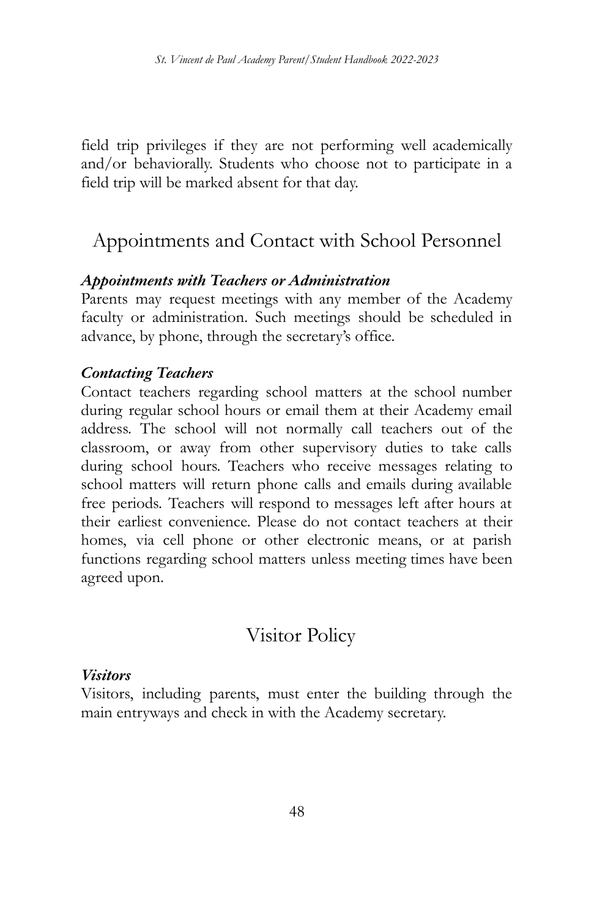field trip privileges if they are not performing well academically and/or behaviorally. Students who choose not to participate in a field trip will be marked absent for that day.

# Appointments and Contact with School Personnel

#### *Appointments with Teachers or Administration*

Parents may request meetings with any member of the Academy faculty or administration. Such meetings should be scheduled in advance, by phone, through the secretary's office.

#### *Contacting Teachers*

Contact teachers regarding school matters at the school number during regular school hours or email them at their Academy email address. The school will not normally call teachers out of the classroom, or away from other supervisory duties to take calls during school hours. Teachers who receive messages relating to school matters will return phone calls and emails during available free periods. Teachers will respond to messages left after hours at their earliest convenience. Please do not contact teachers at their homes, via cell phone or other electronic means, or at parish functions regarding school matters unless meeting times have been agreed upon.

## Visitor Policy

#### *Visitors*

Visitors, including parents, must enter the building through the main entryways and check in with the Academy secretary.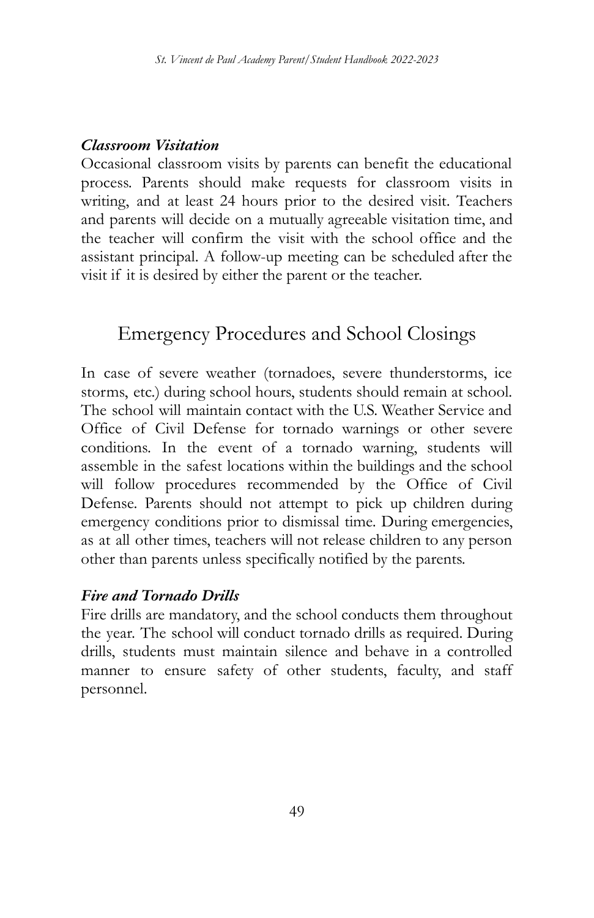#### *Classroom Visitation*

Occasional classroom visits by parents can benefit the educational process. Parents should make requests for classroom visits in writing, and at least 24 hours prior to the desired visit. Teachers and parents will decide on a mutually agreeable visitation time, and the teacher will confirm the visit with the school office and the assistant principal. A follow-up meeting can be scheduled after the visit if it is desired by either the parent or the teacher.

# Emergency Procedures and School Closings

In case of severe weather (tornadoes, severe thunderstorms, ice storms, etc.) during school hours, students should remain at school. The school will maintain contact with the U.S. Weather Service and Office of Civil Defense for tornado warnings or other severe conditions. In the event of a tornado warning, students will assemble in the safest locations within the buildings and the school will follow procedures recommended by the Office of Civil Defense. Parents should not attempt to pick up children during emergency conditions prior to dismissal time. During emergencies, as at all other times, teachers will not release children to any person other than parents unless specifically notified by the parents.

#### *Fire and Tornado Drills*

Fire drills are mandatory, and the school conducts them throughout the year. The school will conduct tornado drills as required. During drills, students must maintain silence and behave in a controlled manner to ensure safety of other students, faculty, and staff personnel.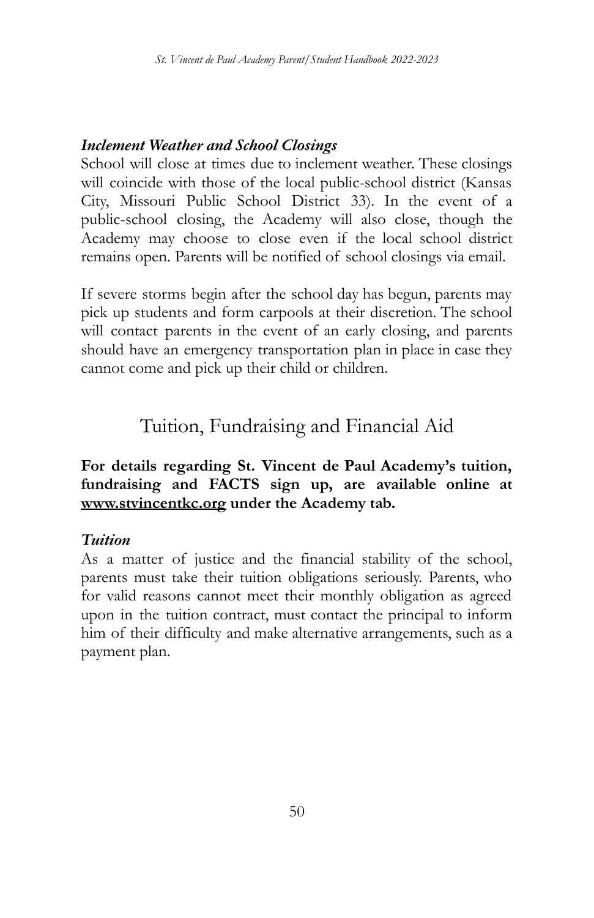### *Inclement Weather and School Closings*

School will close at times due to inclement weather. These closings will coincide with those of the local public-school district (Kansas City, Missouri Public School District 33). In the event of a public-school closing, the Academy will also close, though the Academy may choose to close even if the local school district remains open. Parents will be notified of school closings via email.

If severe storms begin after the school day has begun, parents may pick up students and form carpools at their discretion. The school will contact parents in the event of an early closing, and parents should have an emergency transportation plan in place in case they cannot come and pick up their child or children.

Tuition, Fundraising and Financial Aid

**For details regarding St. Vincent de Paul Academy's tuition, fundraising and FACTS sign up, are available online at www.stvincentkc.org under the Academy tab.**

#### *Tuition*

As a matter of justice and the financial stability of the school, parents must take their tuition obligations seriously. Parents, who for valid reasons cannot meet their monthly obligation as agreed upon in the tuition contract, must contact the principal to inform him of their difficulty and make alternative arrangements, such as a payment plan.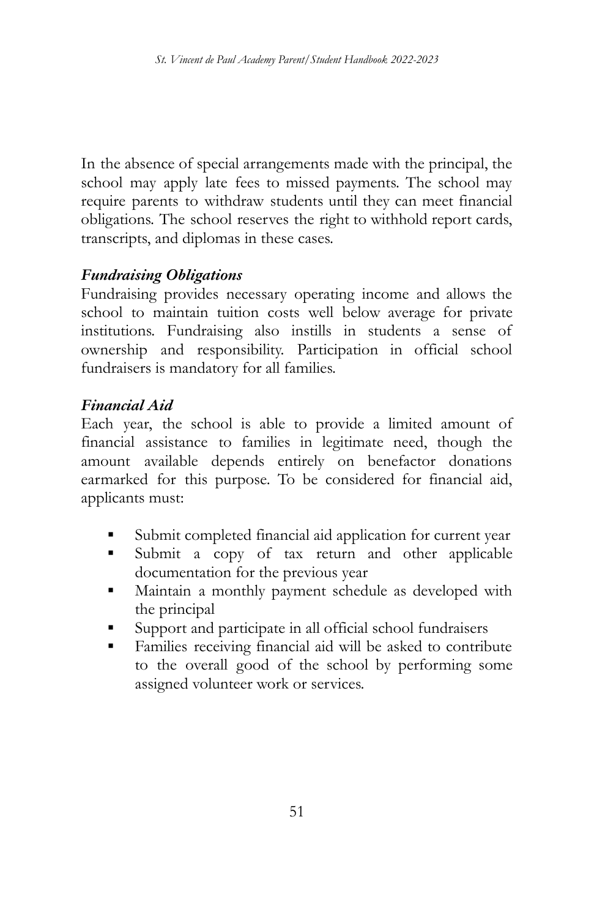In the absence of special arrangements made with the principal, the school may apply late fees to missed payments. The school may require parents to withdraw students until they can meet financial obligations. The school reserves the right to withhold report cards, transcripts, and diplomas in these cases.

### *Fundraising Obligations*

Fundraising provides necessary operating income and allows the school to maintain tuition costs well below average for private institutions. Fundraising also instills in students a sense of ownership and responsibility. Participation in official school fundraisers is mandatory for all families.

#### *Financial Aid*

Each year, the school is able to provide a limited amount of financial assistance to families in legitimate need, though the amount available depends entirely on benefactor donations earmarked for this purpose. To be considered for financial aid, applicants must:

- Submit completed financial aid application for current year
- Submit a copy of tax return and other applicable documentation for the previous year
- **▪** Maintain a monthly payment schedule as developed with the principal
- Support and participate in all official school fundraisers
- Families receiving financial aid will be asked to contribute to the overall good of the school by performing some assigned volunteer work or services.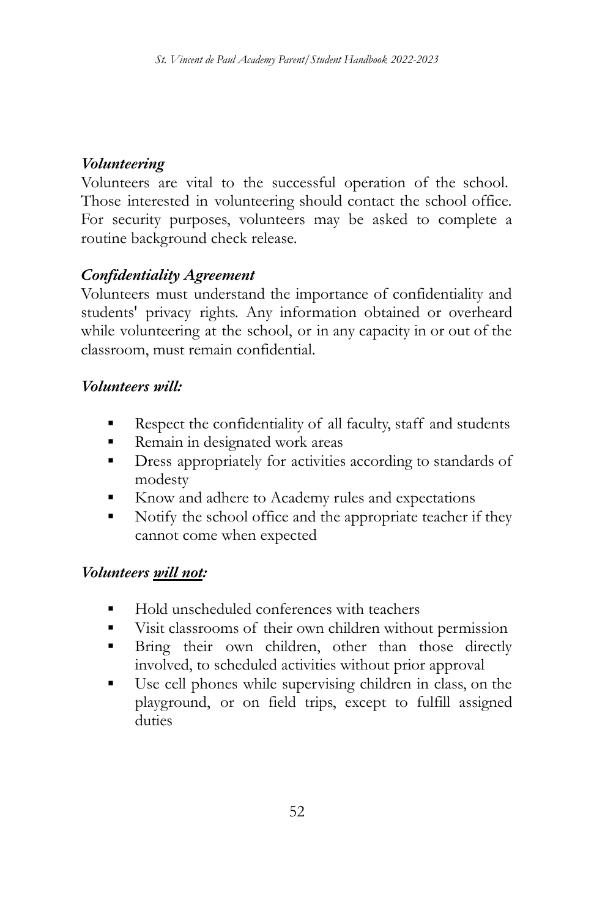### *Volunteering*

Volunteers are vital to the successful operation of the school. Those interested in volunteering should contact the school office. For security purposes, volunteers may be asked to complete a routine background check release.

## *Confidentiality Agreement*

Volunteers must understand the importance of confidentiality and students' privacy rights. Any information obtained or overheard while volunteering at the school, or in any capacity in or out of the classroom, must remain confidential.

### *Volunteers will:*

- Respect the confidentiality of all faculty, staff and students
- Remain in designated work areas
- **•** Dress appropriately for activities according to standards of modesty
- Know and adhere to Academy rules and expectations
- Notify the school office and the appropriate teacher if they cannot come when expected

## *Volunteers will not:*

- Hold unscheduled conferences with teachers
- Visit classrooms of their own children without permission
- **Example 18** Bring their own children, other than those directly involved, to scheduled activities without prior approval
- Use cell phones while supervising children in class, on the playground, or on field trips, except to fulfill assigned duties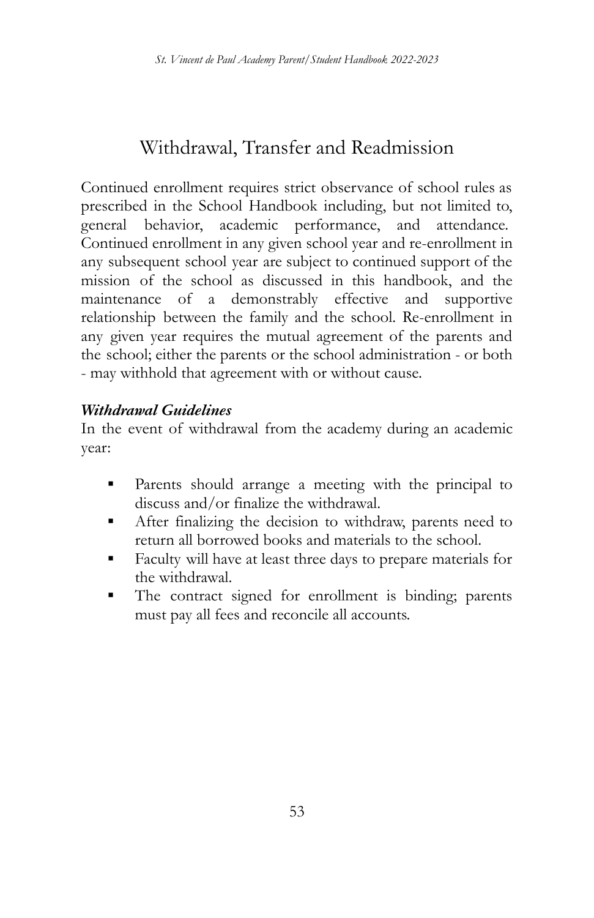# Withdrawal, Transfer and Readmission

Continued enrollment requires strict observance of school rules as prescribed in the School Handbook including, but not limited to, general behavior, academic performance, and attendance. Continued enrollment in any given school year and re-enrollment in any subsequent school year are subject to continued support of the mission of the school as discussed in this handbook, and the maintenance of a demonstrably effective and supportive relationship between the family and the school. Re-enrollment in any given year requires the mutual agreement of the parents and the school; either the parents or the school administration - or both - may withhold that agreement with or without cause.

### *Withdrawal Guidelines*

In the event of withdrawal from the academy during an academic year:

- **▪** Parents should arrange a meeting with the principal to discuss and/or finalize the withdrawal.
- After finalizing the decision to withdraw, parents need to return all borrowed books and materials to the school.
- **▪** Faculty will have at least three days to prepare materials for the withdrawal.
- **•** The contract signed for enrollment is binding; parents must pay all fees and reconcile all accounts.